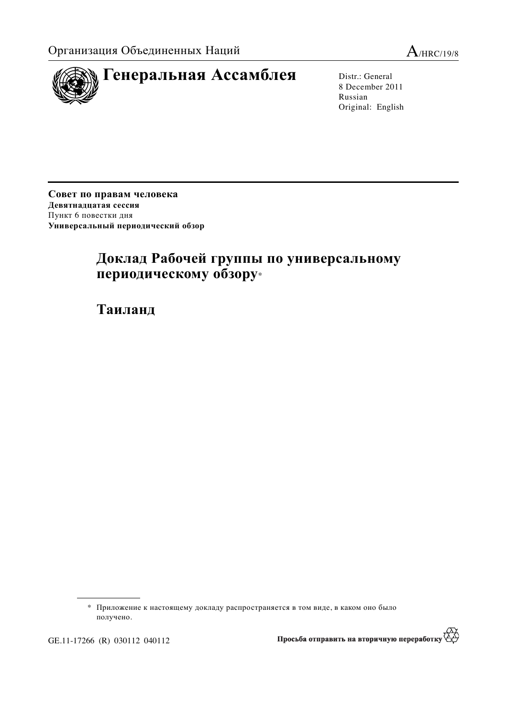



8 December 2011 Russian Original: English

Совет по правам человека Девятнадцатая сессия Пункт 6 повестки дня Универсальный периодический обзор

# Доклад Рабочей группы по универсальному периодическому обзору\*

 $Ta$ иланд

GE.11-17266 (R) 030112 040112

</del> Просьба отправить на вторичную переработку

<sup>\*</sup> Приложение к настоящему докладу распространяется в том виде, в каком оно было получено.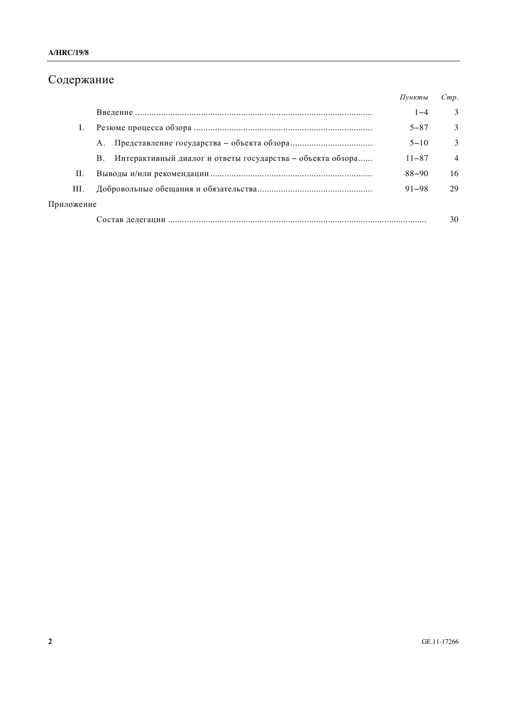# Содержание

|            |                                                                         | Пункты    | Cmp.           |
|------------|-------------------------------------------------------------------------|-----------|----------------|
|            |                                                                         | $1 - 4$   | 3              |
|            |                                                                         | $5 - 87$  | $\mathcal{F}$  |
|            | А.                                                                      | $5 - 10$  | 3              |
|            | Интерактивный диалог и ответы государства - объекта обзора<br><b>B.</b> | $11 - 87$ | $\overline{4}$ |
| П.         |                                                                         | $88 - 90$ | 16             |
| III.       |                                                                         | $91 - 98$ | 29             |
| Приложение |                                                                         |           |                |
|            |                                                                         |           | 30             |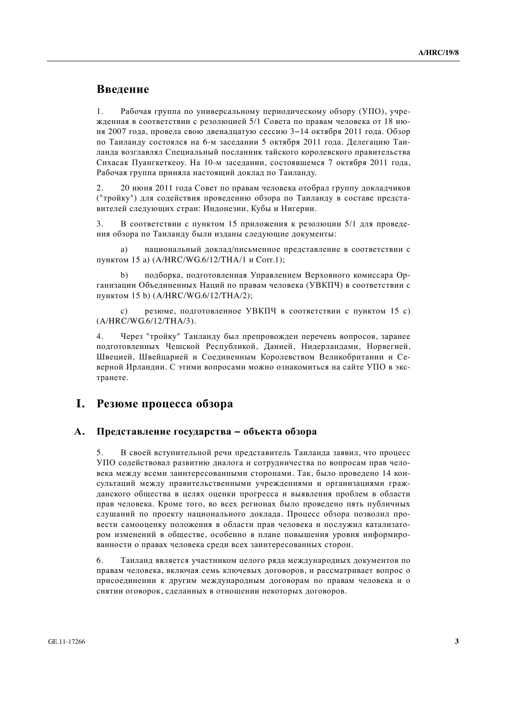## **Введение**

1. Рабочая группа по универсальному периодическому обзору (УПО), учрежденная в соответствии с резолюцией 5/1 Совета по правам человека от 18 июня 2007 гола, провела свою лвеналнатую сессию 3–14 октября 2011 гола. Обзор по Таиланду состоялся на 6-м заседании 5 октября 2011 года. Делегацию Таиланда возглавлял Специальный посланник тайского королевского правительства Сихасак Пуангкеткеоу. На 10-м заседании, состоявшемся 7 октября 2011 года, Рабочая группа приняла настоящий доклад по Таиланду.

2. 20 июня 2011 года Совет по правам человека отобрал группу докладчиков ("тройку") для содействия проведению обзора по Таиланду в составе представителей следующих стран: Индонезии, Кубы и Нигерии.

3. В соответствии с пунктом 15 приложения к резолюции 5/1 для проведения обзора по Таиланду были изданы следующие документы:

а) национальный доклал/письменное представление в соответствии с пунктом 15 а) (A/HRC/WG.6/12/THA/1 и Corr.1);

b) подборка, подготовленная Управлением Верховного комиссара Организации Объединенных Наций по правам человека (УВКПЧ) в соответствии с пунктом 15 b) (A/HRC/WG.6/12/THA/2);

c) резюме, подготовленное УВКПЧ в соответствии с пунктом 15 с) (A/HRC/WG.6/12/THA/3).

4. Через "тройку" Таиланду был препровожден перечень вопросов, заранее подготовленных Чешской Республикой, Данией, Нидерландами, Норвегией, Швецией, Швейцарией и Соединенным Королевством Великобритании и Северной Ирландии. С этими вопросами можно ознакомиться на сайте УПО в экстранете.

### **І.** Резюме процесса обзора

#### А. Представление государства – объекта обзора

5. В своей вступительной речи представитель Таиланда заявил, что процесс УПО содействовал развитию диалога и сотрудничества по вопросам прав человека между всеми заинтересованными сторонами. Так, было проведено 14 консультаций между правительственными учреждениями и организациями гражданского общества в целях оценки прогресса и выявления проблем в области прав человека. Кроме того, во всех регионах было проведено пять публичных слушаний по проекту национального доклада. Процесс обзора позволил провести самооценку положения в области прав человека и послужил катализатором изменений в обществе, особенно в плане повышения уровня информированности о правах человека среди всех заинтересованных сторон.

6. Таиланд является участником целого ряда международных документов по правам человека, включая семь ключевых договоров, и рассматривает вопрос о присоединении к другим международным договорам по правам человека и о снятии оговорок, сделанных в отношении некоторых договоров.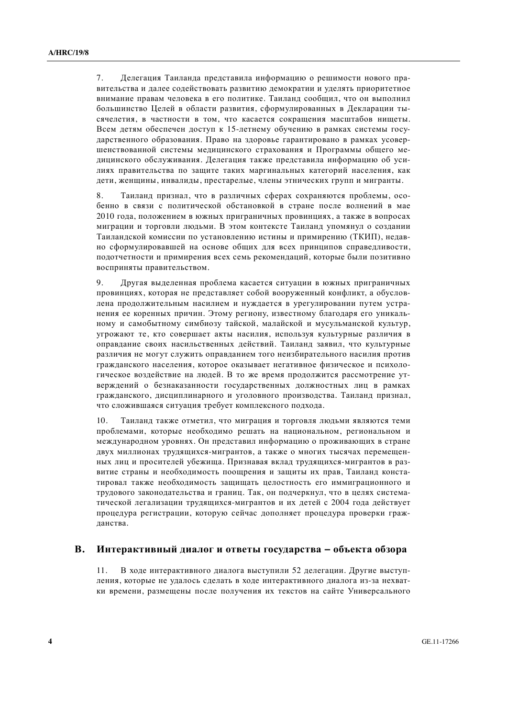7. Делегация Таиланда представила информацию о решимости нового правительства и далее содействовать развитию демократии и уделять приоритетное внимание правам человека в его политике. Таиланд сообщил, что он выполнил большинство Целей в области развития, сформулированных в Декларации тысячелетия, в частности в том, что касается сокращения масштабов нищеты. Всем детям обеспечен доступ к 15-детнему обучению в рамках системы государственного образования. Право на здоровье гарантировано в рамках усовершенствованной системы медицинского страхования и Программы общего медицинского обслуживания. Делегация также представила информацию об усилиях правительства по зашите таких маргинальных категорий населения, как дети, женщины, инвалиды, престарелые, члены этнических групп и мигранты.

8. Таиланд признал, что в различных сферах сохраняются проблемы, особенно в связи с политической обстановкой в стране после волнений в мае 2010 года, положением в южных приграничных провинциях, а также в вопросах миграции и торговли людьми. В этом контексте Таиланд упомянул о создании Таиландской комиссии по установлению истины и примирению (ТКИП), недавно сформулировавшей на основе общих для всех принципов справедливости, подотчетности и примирения всех семь рекомендаций, которые были позитивно восприняты правительством.

9. Другая выделенная проблема касается ситуации в южных приграничных провинциях, которая не представляет собой вооруженный конфликт, а обусловлена продолжительным насилием и нуждается в урегулировании путем устранения ее коренных причин. Этому региону, известному благоларя его уникальному и самобытному симбиозу тайской, малайской и мусульманской культур, угрожают те, кто совершает акты насилия, используя культурные различия в оправдание своих насильственных действий. Таиланд заявил, что культурные различия не могут служить оправланием того неизбирательного насилия против гражданского населения, которое оказывает негативное физическое и психологическое воздействие на людей. В то же время продолжится рассмотрение утверждений о безнаказанности государственных должностных лиц в рамках гражданского, дисциплинарного и уголовного производства. Таиланд признал, что сложившаяся ситуация требует комплексного подхода.

10. Таиланд также отметил, что миграция и торговля людьми являются теми проблемами, которые необходимо решать на национальном, региональном и международном уровнях. Он представил информацию о проживающих в стране двух миллионах трудящихся-мигрантов, а также о многих тысячах перемещенных лиц и просителей убежища. Признавая вклад трудящихся-мигрантов в развитие страны и необходимость поощрения и защиты их прав, Таиланд констатировал также необходимость защищать целостность его иммиграционного и трудового законодательства и границ. Так, он подчеркнул, что в целях систематической легализации трудящихся-мигрантов и их детей с 2004 года действует процедура регистрации, которую сейчас дополняет процедура проверки гражданства.

#### В. Интерактивный диалог и ответы государства – объекта обзора

11. В ходе интерактивного диалога выступили 52 делегации. Другие выступления, которые не удалось сделать в ходе интерактивного диалога из-за нехватки времени, размещены после получения их текстов на сайте Универсального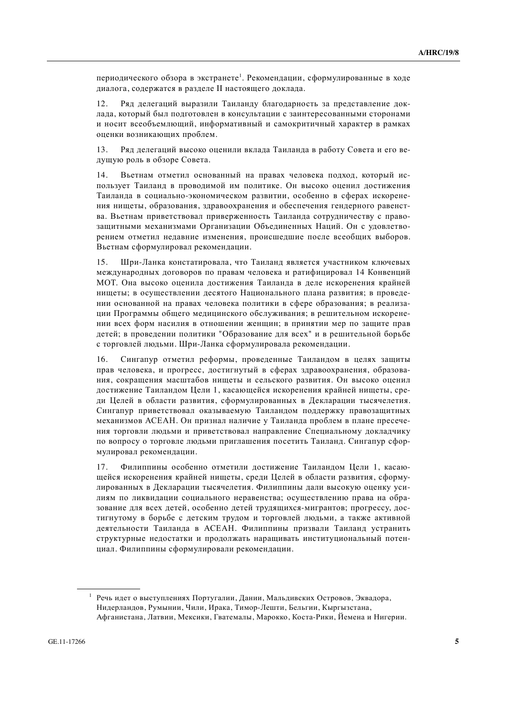периодического обзора в экстранете<sup>1</sup>. Рекомендации, сформулированные в ходе диалога, содержатся в разделе II настоящего доклада.

12. Ряд делегаций выразили Таиланду благодарность за представление доклада, который был подготовлен в консультации с заинтересованными сторонами и носит всеобъемлющий, информативный и самокритичный характер в рамках оценки возникающих проблем.

13. Ряд делегаций высоко оценили вклада Таиланда в работу Совета и его ведушую роль в обзоре Совета.

14. Вьетнам отметил основанный на правах человека полхол, который использует Таиланд в проводимой им политике. Он высоко оценил достижения Таиланда в социально-экономическом развитии, особенно в сферах искоренения нишеты, образования, здравоохранения и обеспечения гендерного равенства. Вьетнам приветствовал приверженность Таиланда сотрудничеству с правозащитными механизмами Организации Объединенных Наций. Он с удовлетворением отметил недавние изменения, происшедшие после всеобщих выборов. Вьетнам сформулировал рекомендации.

15. Шри-Ланка констатировала, что Таиланд является участником ключевых международных договоров по правам человека и ратифицировал 14 Конвенций МОТ. Она высоко оценила достижения Таиланда в деле искоренения крайней нищеты; в осуществлении десятого Национального плана развития; в проведении основанной на правах человека политики в сфере образования; в реализаиии Программы обшего мелицинского обслуживания: в решительном искоренении всех форм насилия в отношении женщин; в принятии мер по защите прав детей; в проведении политики "Образование для всех" и в решительной борьбе с торговлей людьми. Шри-Ланка сформулировала рекомендации.

16. Сингапур отметил реформы, проведенные Таиландом в целях защиты прав человека, и прогресс, достигнутый в сферах здравоохранения, образования, сокращения масштабов нищеты и сельского развития. Он высоко оценил достижение Таиландом Цели 1, касающейся искоренения крайней нишеты, среди Целей в области развития, сформулированных в Декларации тысячелетия. Сингапур приветствовал оказываемую Таиландом поддержку правозащитных механизмов АСЕАН. Он признал наличие у Таиланда проблем в плане пресечения торговли людьми и приветствовал направление Специальному докладчику по вопросу о торговле людьми приглашения посетить Таиланд. Сингапур сформулировал рекомендации.

17. Филиппины особенно отметили достижение Таиландом Цели 1, касающейся искоренения крайней нищеты, среди Целей в области развития, сформулированных в Декларации тысячелетия. Филиппины дали высокую оценку усилиям по ликвидации социального неравенства; осуществлению права на образование для всех детей, особенно детей трудящихся-мигрантов; прогрессу, достигнутому в борьбе с детским трудом и торговлей людьми, а также активной деятельности Таиланда в АСЕАН. Филиппины призвали Таиланд устранить структурные недостатки и продолжать наращивать институциональный потенциал. Филиппины сформулировали рекомендации.

 $1$  Речь идет о выступлениях Португалии, Дании, Мальдивских Островов, Эквадора, Нидерландов, Румынии, Чили, Ирака, Тимор-Лешти, Бельгии, Кыргызстана, Афганистана, Латвии, Мексики, Гватемалы, Марокко, Коста-Рики, Йемена и Нигерии.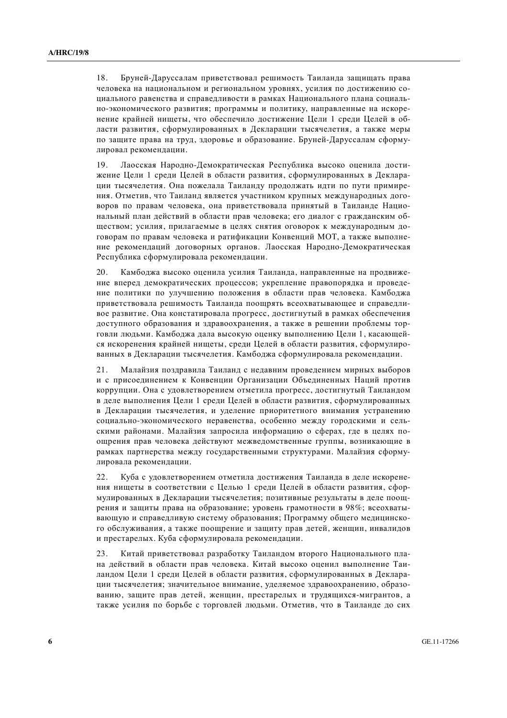18. Бруней-Даруссалам приветствовал решимость Таиланда защищать права человека на национальном и региональном уровнях, усилия по достижению социального равенства и справедливости в рамках Национального плана социально-экономического развития; программы и политику, направленные на искоренение крайней нишеты, что обеспечило лостижение Цели 1 срели Целей в области развития, сформулированных в Лекларации тысячелетия, а также меры по защите права на труд, здоровье и образование. Бруней-Даруссалам сформулировал рекомендации.

19. Лаосская Народно-Демократическая Республика высоко оценила достижение Пели 1 среди Пелей в области развития, сформулированных в Лекларации тысячелетия. Она пожелала Таиланду продолжать идти по пути примирения. Отметив, что Таиланд является участником крупных международных договоров по правам человека, она приветствовала принятый в Таиланде Национальный план действий в области прав человека; его диалог с гражданским обществом; усилия, прилагаемые в целях снятия оговорок к международным договорам по правам человека и ратификации Конвенций МОТ, а также выполнение рекомендаций договорных органов. Лаосская Народно-Демократическая Республика сформулировала рекомендации.

20. Камбоджа высоко оценила усилия Таиланда, направленные на продвижение вперед демократических процессов; укрепление правопорядка и проведение политики по улучшению положения в области прав человека. Камбоджа приветствовала решимость Таиланда поощрять всеохватывающее и справедливое развитие. Она констатировала прогресс, лостигнутый в рамках обеспечения доступного образования и здравоохранения, а также в решении проблемы торговли людьми. Камбоджа дала высокую оценку выполнению Цели 1, касающейся искоренения крайней нищеты, среди Целей в области развития, сформулированных в Декларации тысячелетия. Камбоджа сформулировала рекомендации.

21. Малайзия позлравила Таиланд с недавним проведением мирных выборов и с присоединением к Конвенции Организации Объединенных Наций против коррупции. Она с удовлетворением отметила прогресс, достигнутый Таиландом в деле выполнения Цели 1 среди Целей в области развития, сформулированных в Декларации тысячелетия, и уделение приоритетного внимания устранению социально-экономического неравенства, особенно между городскими и сельскими районами. Малайзия запросила информацию о сферах, где в целях поощрения прав человека действуют межведомственные группы, возникающие в рамках партнерства между государственными структурами. Малайзия сформулировала рекомендации.

22. Куба с удовлетворением отметила достижения Таиланда в деле искоренения нищеты в соответствии с Целью 1 среди Целей в области развития, сформулированных в Декларации тысячелетия; позитивные результаты в деле поощрения и защиты права на образование; уровень грамотности в 98%; всеохватывающую и справедливую систему образования; Программу общего медицинского обслуживания, а также поощрение и защиту прав детей, женщин, инвалидов и престарелых. Куба сформулировала рекомендации.

23. Китай приветствовал разработку Таиландом второго Национального плана действий в области прав человека. Китай высоко оценил выполнение Таиландом Цели 1 среди Целей в области развития, сформулированных в Декларации тысячелетия; значительное внимание, уделяемое здравоохранению, образованию, защите прав детей, женщин, престарелых и трудящихся-мигрантов, а также усилия по борьбе с торговлей людьми. Отметив, что в Таиланде до сих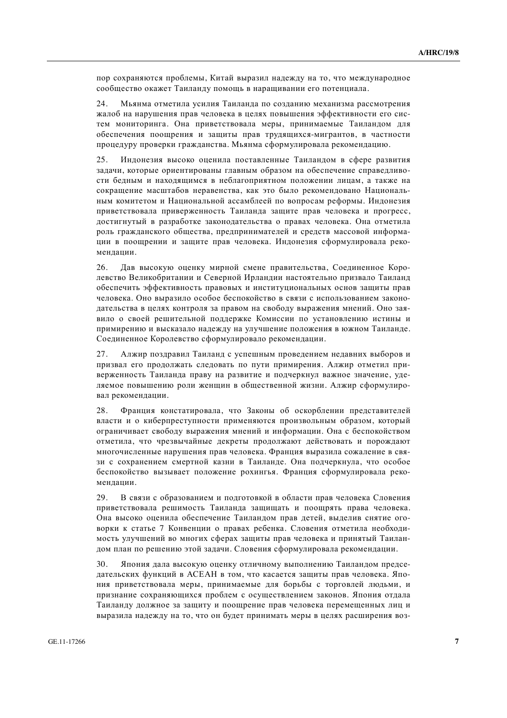пор сохраняются проблемы, Китай выразил надежду на то, что международное сообщество окажет Таиланду помощь в наращивании его потенциала.

24. Мьянма отметила усилия Таиланда по созданию механизма рассмотрения жалоб на нарушения прав человека в целях повышения эффективности его систем мониторинга. Она приветствовала меры, принимаемые Таиландом для обеспечения поощрения и защиты прав трудящихся-мигрантов, в частности процедуру проверки гражданства. Мьянма сформулировала рекомендацию.

25. Индонезия высоко оценила поставленные Таиландом в сфере развития залачи, которые ориентированы главным образом на обеспечение справелливости бедным и находящимся в неблагоприятном положении лицам, а также на сокращение масштабов неравенства, как это было рекомендовано Национальным комитетом и Национальной ассамблеей по вопросам реформы. Индонезия приветствовала приверженность Таиланда защите прав человека и прогресс, достигнутый в разработке законодательства о правах человека. Она отметила роль гражданского общества, предпринимателей и средств массовой информации в поошрении и зашите прав человека. Индонезия сформулировала рекоменлании.

26. Дав высокую оценку мирной смене правительства. Соелиненное Королевство Великобритании и Северной Ирландии настоятельно призвало Таиланд обеспечить эффективность правовых и институциональных основ зашиты прав человека. Оно выразило особое беспокойство в связи с использованием законодательства в целях контроля за правом на свободу выражения мнений. Оно заявило о своей решительной поллержке Комиссии по установлению истины и примирению и высказало надежду на улучшение положения в южном Таиланде. Соединенное Королевство сформулировало рекомендации.

27. Алжир поздравил Таиланд с успешным проведением недавних выборов и призвал его продолжать следовать по пути примирения. Алжир отметил приверженность Таиланда праву на развитие и подчеркнул важное значение, уделяемое повышению роли женщин в общественной жизни. Алжир сформулировал рекомендации.

28. Франция констатировала, что Законы об оскорблении представителей власти и о киберпреступности применяются произвольным образом, который ограничивает свободу выражения мнений и информации. Она с беспокойством отметила, что чрезвычайные декреты продолжают действовать и порождают многочисленные нарушения прав человека. Франция выразила сожаление в связи с сохранением смертной казни в Таиланде. Она подчеркнула, что особое беспокойство вызывает положение рохингья. Франция сформулировала рекомендации.

29. В связи с образованием и подготовкой в области прав человека Словения приветствовала решимость Таиланда защищать и поощрять права человека. Она высоко оценила обеспечение Таиландом прав детей, выделив снятие оговорки к статье 7 Конвенции о правах ребенка. Словения отметила необходимость улучшений во многих сферах защиты прав человека и принятый Таиландом план по решению этой задачи. Словения сформулировала рекомендации.

30. Япония дала высокую оценку отличному выполнению Таиландом председательских функций в АСЕАН в том, что касается защиты прав человека. Япония приветствовала меры, принимаемые для борьбы с торговлей людьми, и признание сохраняющихся проблем с осуществлением законов. Япония отдала Таиланду должное за защиту и поощрение прав человека перемещенных лиц и выразила надежду на то, что он будет принимать меры в целях расширения воз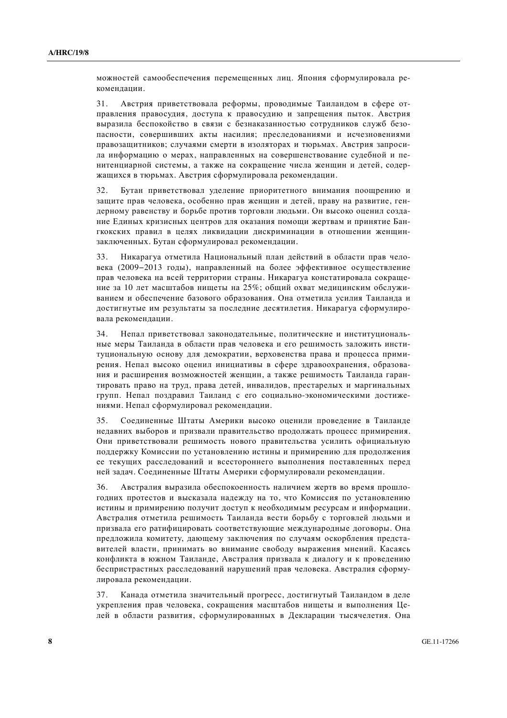можностей самообеспечения перемещенных лиц. Япония сформулировала рекомендации.

31. Австрия приветствовала реформы, проводимые Таиландом в сфере отправления правосудия, доступа к правосудию и запрещения пыток. Австрия выразила беспокойство в связи с безнаказанностью сотрудников служб безопасности, совершивших акты насилия; преследованиями и исчезновениями правозащитников; случаями смерти в изоляторах и тюрьмах. Австрия запросила информацию о мерах, направленных на совершенствование судебной и пенитенциарной системы, а также на сокращение числа женщин и детей, содержащихся в тюрьмах. Австрия сформулировала рекомендации.

32. Бутан приветствовал уделение приоритетного внимания поощрению и защите прав человека, особенно прав женщин и детей, праву на развитие, гендерному равенству и борьбе против торговли людьми. Он высоко оценил создание Единых кризисных центров для оказания помощи жертвам и принятие Бангкокских правил в целях ликвидации дискриминации в отношении женщинзаключенных. Бутан сформулировал рекомендации.

33. Никарагуа отметила Национальный план действий в области прав человека (2009–2013 голы), направленный на более эффективное осуществление прав человека на всей территории страны. Никарагуа констатировала сокрашение за 10 лет масштабов нищеты на 25%; общий охват медицинским обслуживанием и обеспечение базового образования. Она отметила усилия Таиланда и достигнутые им результаты за последние десятилетия. Никарагуа сформулировала рекоменлации.

34. Непал приветствовал законодательные, политические и институциональные меры Таиланда в области прав человека и его решимость заложить институциональную основу для демократии, верховенства права и процесса примирения. Непал высоко оценил инициативы в сфере здравоохранения, образования и расширения возможностей женщин, а также решимость Таиланда гарантировать право на труд, права детей, инвалидов, престарелых и маргинальных групп. Непал поздравил Таиланд с его социально-экономическими достижениями. Непал сформулировал рекомендации.

35. Соединенные Штаты Америки высоко оценили проведение в Таиланде недавних выборов и призвали правительство продолжать процесс примирения. Они приветствовали решимость нового правительства усилить официальную поддержку Комиссии по установлению истины и примирению для продолжения ее текущих расследований и всестороннего выполнения поставленных перед ней задач. Соединенные Штаты Америки сформулировали рекомендации.

36. Австралия выразила обеспокоенность наличием жертв во время прошлогодних протестов и высказала надежду на то, что Комиссия по установлению истины и примирению получит доступ к необходимым ресурсам и информации. Австралия отметила решимость Таиланда вести борьбу с торговлей людьми и призвала его ратифицировать соответствующие международные договоры. Она предложила комитету, дающему заключения по случаям оскорбления представителей власти, принимать во внимание свободу выражения мнений. Касаясь конфликта в южном Таиланде, Австралия призвала к диалогу и к проведению беспристрастных расследований нарушений прав человека. Австралия сформулировала рекомендации.

37. Канада отметила значительный прогресс, достигнутый Таиландом в деле укрепления прав человека, сокращения масштабов нищеты и выполнения Целей в области развития, сформулированных в Декларации тысячелетия. Она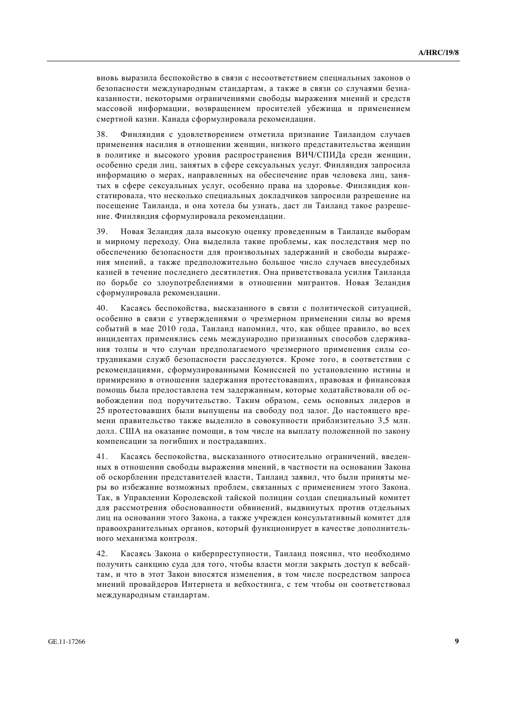вновь выразила беспокойство в связи с несоответствием специальных законов о безопасности международным стандартам, а также в связи со случаями безнаказанности, некоторыми ограничениями свободы выражения мнений и средств массовой информации, возвращением просителей убежища и применением смертной казни. Канада сформулировала рекомендации.

38. Финляндия с удовлетворением отметила признание Таиландом случаев применения насилия в отношении женщин, низкого представительства женщин в политике и высокого уровня распространения ВИЧ/СПИЛа среди женщин. особенно среди лиц, занятых в сфере сексуальных услуг. Финляндия запросила информацию о мерах, направленных на обеспечение прав человека лиц, занятых в сфере сексуальных услуг, особенно права на здоровье. Финляндия констатировала, что несколько специальных докладчиков запросили разрешение на посешение Таиланда, и она хотела бы узнать, даст ли Таиланд такое разрешение. Финляндия сформулировала рекомендации.

39. Новая Зеландия дала высокую оценку проведенным в Таиланде выборам и мирному переходу. Она выделила такие проблемы, как последствия мер по обеспечению безопасности для произвольных задержаний и свободы выражения мнений, а также предположительно большое число случаев внесудебных казней в течение последнего десятилетия. Она приветствовала усилия Таиланда по борьбе со злоупотреблениями в отношении мигрантов. Новая Зеландия сформулировала рекомендации.

40. Касаясь беспокойства, высказанного в связи с политической ситуацией, особенно в связи с утверждениями о чрезмерном применении силы во время событий в мае 2010 года, Таиланд напомнил, что, как общее правило, во всех инцидентах применялись семь международно признанных способов сдерживания толпы и что случаи предполагаемого чрезмерного применения силы сотрудниками служб безопасности расследуются. Кроме того, в соответствии с рекоменлациями, сформулированными Комиссией по установлению истины и примирению в отношении задержания протестовавших, правовая и финансовая помошь была предоставлена тем задержанным, которые ходатайствовали об освобождении под поручительство. Таким образом, семь основных лидеров и 25 протестовавших были выпущены на свободу под залог. До настоящего времени правительство также выделило в совокупности приблизительно 3,5 млн. долл. США на оказание помощи, в том числе на выплату положенной по закону компенсации за погибших и пострадавших.

41. Касаясь беспокойства, высказанного относительно ограничений, введенных в отношении свободы выражения мнений, в частности на основании Закона об оскорблении представителей власти, Таиланд заявил, что были приняты меры во избежание возможных проблем, связанных с применением этого Закона. Так, в Управлении Королевской тайской полиции создан специальный комитет для рассмотрения обоснованности обвинений, выдвинутых против отдельных лиц на основании этого Закона, а также учрежден консультативный комитет для правоохранительных органов, который функционирует в качестве дополнительного механизма контроля.

42. Касаясь Закона о киберпреступности, Таиланд пояснил, что необходимо получить санкцию суда для того, чтобы власти могли закрыть доступ к вебсайтам, и что в этот Закон вносятся изменения, в том числе посредством запроса мнений провайдеров Интернета и вебхостинга, с тем чтобы он соответствовал международным стандартам.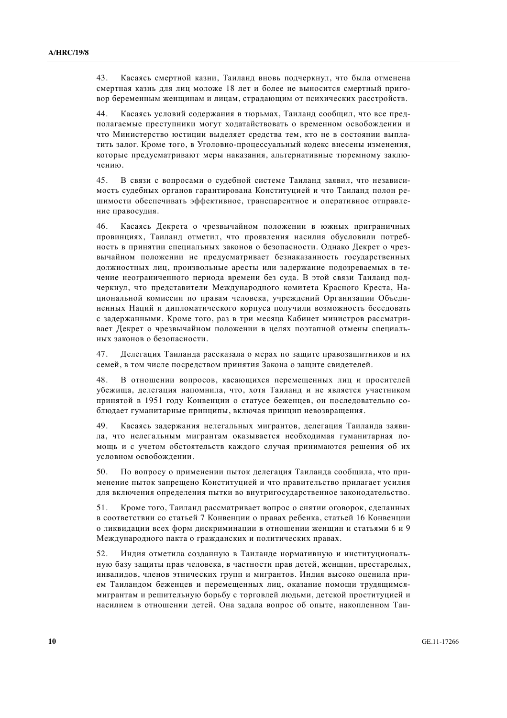43. Касаясь смертной казни, Таиланд вновь подчеркнул, что была отменена смертная казнь для лиц моложе 18 лет и более не выносится смертный приговор беременным женщинам и лицам, страдающим от психических расстройств.

44. Касаясь условий содержания в тюрьмах, Таиланд сообщил, что все предполагаемые преступники могут ходатайствовать о временном освобождении и что Министерство юстиции выделяет средства тем, кто не в состоянии выплатить залог. Кроме того, в Уголовно-процессуальный кодекс внесены изменения, которые предусматривают меры наказания, альтернативные тюремному заключению.

45. В связи с вопросами о судебной системе Таиланд заявил, что независимость судебных органов гарантирована Конституцией и что Таиланд полон решимости обеспечивать эффективное, транспарентное и оперативное отправление правосудия.

46. Касаясь Декрета о чрезвычайном положении в южных приграничных провинциях, Таиланд отметил, что проявления насилия обусловили потребность в принятии специальных законов о безопасности. Однако Декрет о чрезвычайном положении не предусматривает безнаказанность государственных должностных лиц, произвольные аресты или задержание подозреваемых в течение неограниченного периода времени без суда. В этой связи Таиланд подчеркнул, что представители Международного комитета Красного Креста, Национальной комиссии по правам человека, учреждений Организации Объединенных Наций и дипломатического корпуса получили возможность беседовать с задержанными. Кроме того, раз в три месяца Кабинет министров рассматривает Декрет о чрезвычайном положении в целях поэтапной отмены специальных законов о безопасности.

47. Иелегация Таиланда рассказала о мерах по зашите правозашитников и их семей, в том числе посредством принятия Закона о защите свидетелей.

48. В отношении вопросов, касающихся перемещенных лиц и просителей vбежиша, делегация напомнила, что, хотя Таиланд и не является участником принятой в 1951 году Конвенции о статусе беженцев, он последовательно соблюдает гуманитарные принципы, включая принцип невозвращения.

49. Касаясь задержания нелегальных мигрантов, делегация Таиланда заявила, что нелегальным мигрантам оказывается необхолимая гуманитарная помощь и с учетом обстоятельств каждого случая принимаются решения об их условном освобождении.

50. По вопросу о применении пыток делегация Таиланда сообщила, что применение пыток запрещено Конституцией и что правительство прилагает усилия для включения определения пытки во внутригосударственное законодательство.

51. Кроме того, Таиланд рассматривает вопрос о снятии оговорок, сделанных в соответствии со статьей 7 Конвенции о правах ребенка, статьей 16 Конвенции о ликвидации всех форм дискриминации в отношении женщин и статьями 6 и 9 Международного пакта о гражданских и политических правах.

52. Индия отметила созданную в Таиланде нормативную и институциональную базу защиты прав человека, в частности прав детей, женщин, престарелых, инвалидов, членов этнических групп и мигрантов. Индия высоко оценила прием Таиландом беженцев и перемещенных лиц, оказание помощи трудящимсямигрантам и решительную борьбу с торговлей людьми, детской проституцией и насилием в отношении детей. Она задала вопрос об опыте, накопленном Таи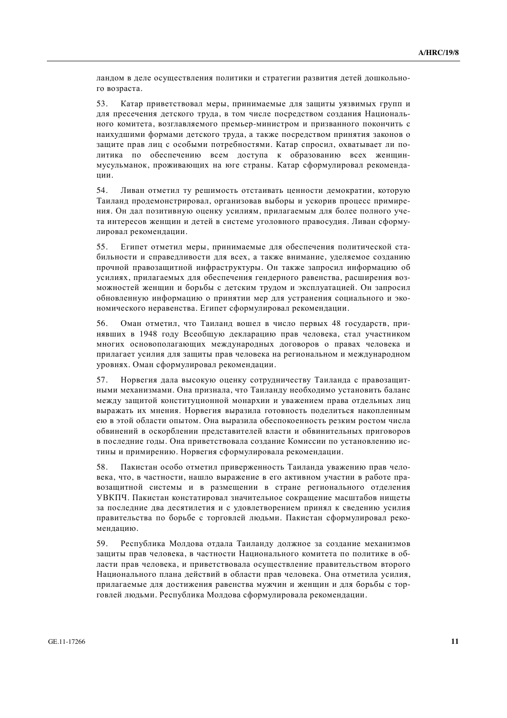ландом в деле осуществления политики и стратегии развития детей дошкольного возраста.

53. Катар приветствовал меры, принимаемые для защиты уязвимых групп и для пресечения детского труда, в том числе посредством создания Национального комитета, возглавляемого премьер-министром и призванного покончить с наихудшими формами детского труда, а также посредством принятия законов о защите прав лиц с особыми потребностями. Катар спросил, охватывает ли политика по обеспечению всем лоступа к образованию всех женщинмусульманок, проживающих на юге страны. Катар сформулировал рекомендании.

54. Ливан отметил ту решимость отстаивать ценности демократии, которую Таиланд продемонстрировал, организовав выборы и ускорив процесс примирения. Он дал позитивную оценку усилиям, прилагаемым для более полного учета интересов женщин и детей в системе уголовного правосудия. Ливан сформулировал рекомендации.

55. Египет отметил меры, принимаемые для обеспечения политической стабильности и справедливости для всех, а также внимание, уделяемое созданию прочной правозашитной инфраструктуры. Он также запросил информацию об усилиях, прилагаемых лля обеспечения гендерного равенства, расширения возможностей женшин и борьбы с летским трудом и эксплуатацией. Он запросил обновленную информацию о принятии мер для устранения социального и экономического неравенства. Египет сформулировал рекомендации.

56. Оман отметил, что Таиланд вошел в число первых 48 государств, принявших в 1948 году Всеобщую декларацию прав человека, стал участником многих основополагающих международных договоров о правах человека и прилагает усилия для защиты прав человека на региональном и международном уровнях. Оман сформулировал рекомендации.

57. Норвегия дала высокую оценку сотрудничеству Таиланда с правозащитными механизмами. Она признала, что Таиланлу необхолимо установить баланс межлу зашитой конституционной монархии и уважением права отлельных лиц выражать их мнения. Норвегия выразила готовность поделиться накопленным ею в этой области опытом. Она выразила обеспокоенность резким ростом числа обвинений в оскорблении прелставителей власти и обвинительных приговоров в последние годы. Она приветствовала создание Комиссии по установлению истины и примирению. Норвегия сформулировала рекомендации.

58. Пакистан особо отметил приверженность Таиланда уважению прав человека, что, в частности, нашло выражение в его активном участии в работе правозащитной системы и в размещении в стране регионального отделения УВКПЧ. Пакистан констатировал значительное сокращение масштабов нищеты за последние два десятилетия и с удовлетворением принял к сведению усилия правительства по борьбе с торговлей людьми. Пакистан сформулировал рекомендацию.

59. Республика Молдова отдала Таиланду должное за создание механизмов защиты прав человека, в частности Национального комитета по политике в области прав человека, и приветствовала осуществление правительством второго Национального плана действий в области прав человека. Она отметила усилия, прилагаемые для достижения равенства мужчин и женщин и для борьбы с торговлей людьми. Республика Молдова сформулировала рекомендации.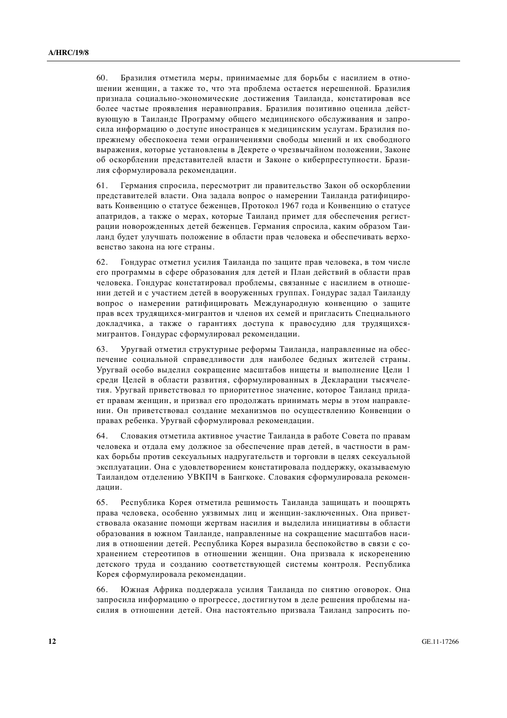60. Бразилия отметила меры, принимаемые для борьбы с насилием в отношении женщин, а также то, что эта проблема остается нерешенной. Бразилия признала социально-экономические достижения Таиланда, констатировав все более частые проявления неравноправия. Бразилия позитивно оценила действующую в Таиланде Программу общего мелицинского обслуживания и запросила информацию о доступе иностранцев к медицинским услугам. Бразилия попрежнему обеспокоена теми ограничениями своболы мнений и их своболного выражения, которые установлены в Декрете о чрезвычайном положении, Законе об оскорблении представителей власти и Законе о киберпреступности. Бразилия сформулировала рекомендации.

61. Германия спросила, пересмотрит ли правительство Закон об оскорблении представителей власти. Она задала вопрос о намерении Таиланда ратифицировать Конвенцию о статусе беженцев. Протокол 1967 года и Конвенцию о статусе апатридов, а также о мерах, которые Таиланд примет для обеспечения регистрации новорожденных детей беженцев. Германия спросила, каким образом Таиланд будет улучшать положение в области прав человека и обеспечивать верховенство закона на юге страны.

62. Гондурас отметил усилия Таиланда по защите прав человека, в том числе его программы в сфере образования для детей и План действий в области прав человека. Гондурас констатировал проблемы, связанные с насилием в отношении детей и с участием детей в вооруженных группах. Гондурас задал Таиланду вопрос о намерении ратифицировать Международную конвенцию о защите прав всех трудящихся-мигрантов и членов их семей и пригласить Специального докладчика, а также о гарантиях доступа к правосудию для трудящихсямигрантов. Гондурас сформулировал рекомендации.

63. Уругвай отметил структурные реформы Таиланда, направленные на обеспечение социальной справедливости для наиболее бедных жителей страны. Уругвай особо выделил сокращение масштабов нищеты и выполнение Цели 1 среди Целей в области развития, сформулированных в Декларации тысячелетия. Уругвай приветствовал то приоритетное значение, которое Таиланл прилает правам женщин, и призвал его продолжать принимать меры в этом направлении. Он приветствовал создание механизмов по осуществлению Конвенции о правах ребенка. Уругвай сформулировал рекомендации.

64. Словакия отметила активное участие Таиланда в работе Совета по правам человека и отдала ему должное за обеспечение прав детей, в частности в рамках борьбы против сексуальных надругательств и торговли в целях сексуальной эксплуатации. Она с удовлетворением констатировала поддержку, оказываемую Таиландом отделению УВКПЧ в Бангкоке. Словакия сформулировала рекомендации.

65. Республика Корея отметила решимость Таиланда защищать и поощрять права человека, особенно уязвимых лиц и женщин-заключенных. Она приветствовала оказание помощи жертвам насилия и выделила инициативы в области образования в южном Таиланде, направленные на сокращение масштабов насилия в отношении детей. Республика Корея выразила беспокойство в связи с сохранением стереотипов в отношении женщин. Она призвала к искоренению детского труда и созданию соответствующей системы контроля. Республика Корея сформулировала рекомендации.

66. Южная Африка поддержала усилия Таиланда по снятию оговорок. Она запросила информацию о прогрессе, достигнутом в деле решения проблемы насилия в отношении детей. Она настоятельно призвала Таиланд запросить по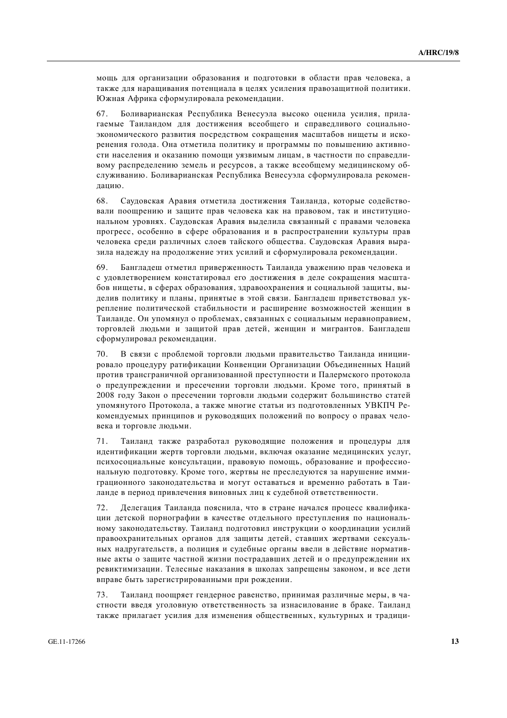мощь для организации образования и подготовки в области прав человека, а также для наращивания потенциала в целях усиления правозащитной политики. Южная Африка сформулировала рекомендации.

67. Боливарианская Республика Венесуэла высоко оценила усилия, прилагаемые Таиландом для достижения всеобщего и справедливого социальноэкономического развития посредством сокращения масштабов нищеты и искоренения голода. Она отметила политику и программы по повышению активности населения и оказанию помоши уязвимым лицам, в частности по справелливому распределению земель и ресурсов, а также всеобщему медицинскому обслуживанию. Боливарианская Республика Венесуэла сформулировала рекомендацию.

68. Саудовская Аравия отметила достижения Таиланда, которые содействовали поощрению и защите прав человека как на правовом, так и институциональном уровнях. Саудовская Аравия выделила связанный с правами человека прогресс, особенно в сфере образования и в распространении культуры прав человека срели различных слоев тайского общества. Саудовская Аравия выразила надежду на продолжение этих усилий и сформулировала рекомендации.

69. Бангладеш отметил приверженность Таиланда уважению прав человека и с удовлетворением констатировал его достижения в деле сокращения масштабов нищеты, в сферах образования, здравоохранения и социальной защиты, выделив политику и планы, принятые в этой связи. Бангладеш приветствовал укрепление политической стабильности и расширение возможностей женщин в Таиланле. Он упомянул о проблемах, связанных с социальным неравноправием, торговлей людьми и защитой прав детей, женщин и мигрантов. Бангладеш сформулировал рекомендации.

70. В связи с проблемой торговли людьми правительство Таиланда инициировало процедуру ратификации Конвенции Организации Объединенных Наций против трансграничной организованной преступности и Палермского протокола о предупреждении и пресечении торговли людьми. Кроме того, принятый в 2008 году Закон о пресечении торговли людьми содержит большинство статей упомянутого Протокола, а также многие статьи из подготовленных УВКПЧ Рекомендуемых принципов и руководящих положений по вопросу о правах человека и торговле людьми.

71. Таиланд также разработал руководящие положения и процедуры для идентификации жертв торговли людьми, включая оказание медицинских услуг, психосоциальные консультации, правовую помощь, образование и профессиональную подготовку. Кроме того, жертвы не преследуются за нарушение иммиграционного законодательства и могут оставаться и временно работать в Таиланде в период привлечения виновных лиц к судебной ответственности.

72. Делегация Таиланда пояснила, что в стране начался процесс квалификации детской порнографии в качестве отдельного преступления по национальному законодательству. Таиланд подготовил инструкции о координации усилий правоохранительных органов для защиты детей, ставших жертвами сексуальных надругательств, а полиция и судебные органы ввели в действие нормативные акты о защите частной жизни пострадавших детей и о предупреждении их ревиктимизации. Телесные наказания в школах запрещены законом, и все дети вправе быть зарегистрированными при рождении.

73. Таиланд поощряет гендерное равенство, принимая различные меры, в частности введя уголовную ответственность за изнасилование в браке. Таиланд также прилагает усилия для изменения общественных, культурных и традици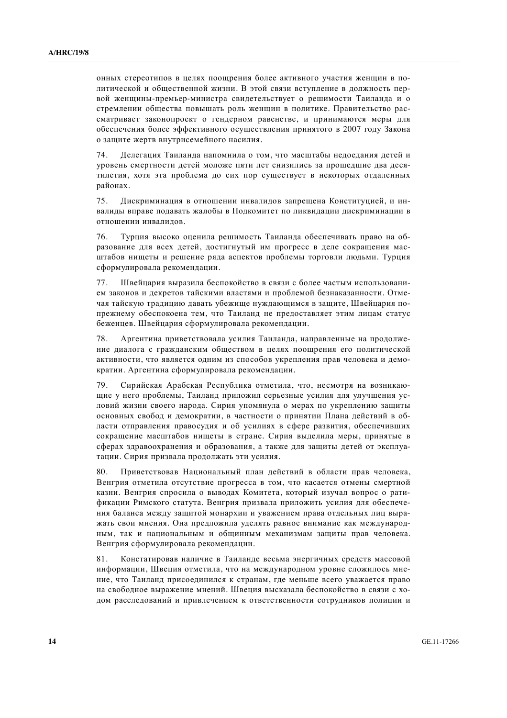онных стереотипов в целях поощрения более активного участия женщин в политической и общественной жизни. В этой связи вступление в должность первой женщины-премьер-министра свидетельствует о решимости Таиланда и о стремлении общества повышать роль женщин в политике. Правительство рассматривает законопроект о гендерном равенстве, и принимаются меры для обеспечения более эффективного осушествления принятого в 2007 году Закона о защите жертв внутрисемейного насилия.

74. Иелегация Таиланда напомнила о том, что масштабы нелоедания детей и уровень смертности детей моложе пяти лет снизились за прошедшие два десятилетия, хотя эта проблема до сих пор существует в некоторых отдаленных районах.

75. Дискриминация в отношении инвалидов запрещена Конституцией, и инвалиды вправе подавать жалобы в Подкомитет по ликвидации дискриминации в отношении инвалилов.

76. Турция высоко оценила решимость Таиланда обеспечивать право на образование для всех детей, достигнутый им прогресс в деле сокращения масштабов нищеты и решение ряда аспектов проблемы торговли людьми. Турция сформулировала рекомендации.

77. Швейцария выразила беспокойство в связи с более частым использованием законов и декретов тайскими властями и проблемой безнаказанности. Отмечая тайскую традицию давать убежище нуждающимся в защите, Швейцария попрежнему обеспокоена тем, что Таиланд не предоставляет этим лицам статус беженцев. Швейцария сформулировала рекомендации.

78. Аргентина приветствовала усилия Таиланда, направленные на продолжение диалога с гражданским обществом в целях поощрения его политической активности, что является одним из способов укрепления прав человека и демократии. Аргентина сформулировала рекомендации.

79. Сирийская Арабская Республика отметила, что, несмотря на возникающие у него проблемы, Таиланд приложил серьезные усилия для улучшения условий жизни своего народа. Сирия упомянула о мерах по укреплению защиты основных свобод и демократии, в частности о принятии Плана действий в области отправления правосудия и об усилиях в сфере развития, обеспечивших сокращение масштабов нищеты в стране. Сирия выделила меры, принятые в сферах здравоохранения и образования, а также для защиты детей от эксплуатации. Сирия призвала продолжать эти усилия.

80. Приветствовав Национальный план действий в области прав человека, Венгрия отметила отсутствие прогресса в том, что касается отмены смертной казни. Венгрия спросила о выводах Комитета, который изучал вопрос о ратификации Римского статута. Венгрия призвала приложить усилия для обеспечения баланса между защитой монархии и уважением права отдельных лиц выражать свои мнения. Она предложила уделять равное внимание как международным, так и национальным и общинным механизмам защиты прав человека. Венгрия сформулировала рекомендации.

81. Констатировав наличие в Таиланде весьма энергичных средств массовой информации, Швеция отметила, что на международном уровне сложилось мнение, что Таиланд присоединился к странам, где меньше всего уважается право на свободное выражение мнений. Швеция высказала беспокойство в связи с ходом расследований и привлечением к ответственности сотрудников полиции и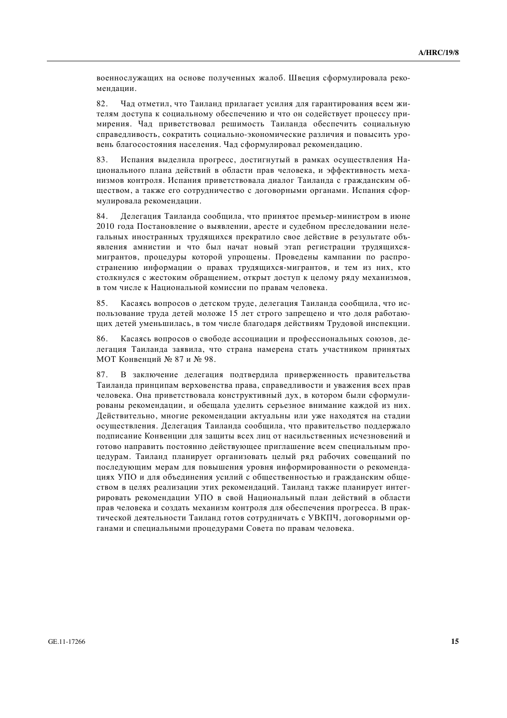военнослужащих на основе полученных жалоб. Швеция сформулировала рекомендации.

82. Чад отметил, что Таиланд прилагает усилия для гарантирования всем жителям доступа к социальному обеспечению и что он содействует процессу примирения. Чад приветствовал решимость Таиланда обеспечить социальную справелливость, сократить социально-экономические различия и повысить уровень благосостояния населения. Чад сформулировал рекомендацию.

83. Испания выделила прогресс, достигнутый в рамках осуществления Нашионального плана лействий в области прав человека, и эффективность механизмов контроля. Испания приветствовала диалог Таиланда с гражданским обществом, а также его сотрудничество с договорными органами. Испания сформулировала рекомендации.

84. Делегация Таиланда сообщила, что принятое премьер-министром в июне 2010 года Постановление о выявлении, аресте и судебном преследовании нелегальных иностранных трудящихся прекратило свое действие в результате объявления амнистии и что был начат новый этап регистрации трудящихсямигрантов, процедуры которой упрощены. Проведены кампании по распространению информации о правах трудящихся-мигрантов, и тем из них, кто столкнулся с жестоким обрашением, открыт лоступ к целому ряду механизмов, в том числе к Национальной комиссии по правам человека.

85. Касаясь вопросов о детском труде, делегация Таиланда сообщила, что использование труда детей моложе 15 лет строго запрешено и что доля работающих детей уменьшилась, в том числе благодаря действиям Трудовой инспекции.

86. Касаясь вопросов о свободе ассоциации и профессиональных союзов, делегация Таиланда заявила, что страна намерена стать участником принятых МОТ Конвенций № 87 и № 98.

87. В заключение делегация подтвердила приверженность правительства Таиланда принципам верховенства права, справедливости и уважения всех прав человека. Она приветствовала конструктивный дух, в котором были сформулированы рекомендации, и обещала уделить серьезное внимание каждой из них. Действительно, многие рекомендации актуальны или уже находятся на стадии осушествления. Делегация Таиланда сообщила, что правительство поддержало полписание Конвенции лля зашиты всех лиц от насильственных исчезновений и готово направить постоянно действующее приглашение всем специальным процедурам. Таиланд планирует организовать целый ряд рабочих совещаний по последующим мерам для повышения уровня информированности о рекомендациях УПО и для объединения усилий с общественностью и гражданским обществом в целях реализации этих рекомендаций. Таиланд также планирует интегрировать рекомендации УПО в свой Национальный план действий в области прав человека и создать механизм контроля для обеспечения прогресса. В практической деятельности Таиланд готов сотрудничать с УВКПЧ, договорными органами и специальными процедурами Совета по правам человека.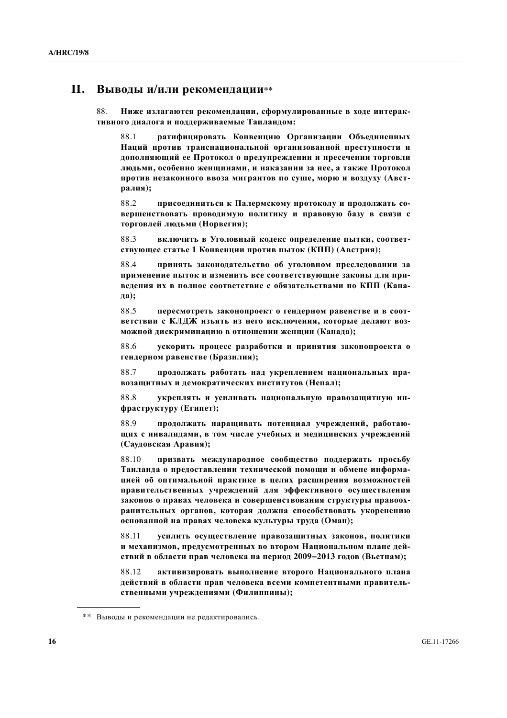## **И.** Выводы и/или рекомендации\*\*

88. **Ниже излагаются рекомендации, сформулированные в ходе интерак**тивного диалога и поддерживаемые Таиландом:

88.1 **и ратифицировать Конвенцию Организации Объединенных** Наций против транснациональной организованной преступности и дополняющий ее Протокол о предупреждении и пресечении торговли дюдьми, особенно женщинами, и наказании за нее, а также Протокол против незаконного ввоза мигрантов по суше, морю и воздуху (Австpaлия);

88.2 **присоелиниться к Палермскому протоколу и продолжать совершенствовать проводимую политику и правовую базу в связи с**  $\mathbf{Top}$ говлей людьми (Норвегия);

88.3 **•• ВКЛЮЧИТЬ В УГОЛОВНЫЙ КОЛЕКС ОПРЕЛЕНИЕ ПЫТКИ, СООТВЕТствующее статье 1 Конвенции против пыток (КПП) (Австрия);** 

88.4 **принять законодательство об уголовном преследовании за** применение пыток и изменить все соответствующие законы для при**ведения их в полное соответствие с обязательствами по КПП (Кана-** $\pi$ **a**):

88.5 **пересмотреть законопроект о гендерном равенстве и в соответствии с КЛДЖ изъять из него исключения, которые делают возможной дискриминацию в отношении женщин (Канада);** 

88.6 **ɭɫɤɨɪɢɬɶ ɩɪɨɰɟɫɫ ɪɚɡɪɚɛɨɬɤɢ ɢ ɩɪɢɧɹɬɢɹ ɡɚɤɨɧɨɩɪɨɟɤɬɚ ɨ** гендерном равенстве (Бразилия);

88.7 продолжать работать над укреплением национальных пра**возащитных и демократических институтов (Непал);** 

88.8 **ɭɤɪɟɩɥɹɬɶ ɢ ɭɫɢɥɢɜɚɬɶ ɧɚɰɢɨɧɚɥɶɧɭɸ ɩɪɚɜɨɡɚɳɢɬɧɭɸ ɢɧ-** $\phi$ раструктуру (Египет);

88.9 продолжать наращивать потенциал учреждений, работаю-**ЩИХ С ИНВАЛИДАМИ, В ТОМ ЧИСЛЕ УЧЕбНЫХ И МЕДИЦИНСКИХ УЧРЕЖДЕНИЙ** (Саудовская Аравия);

88.10 призвать международное сообщество поддержать просьбу Таиланда о предоставлении технической помощи и обмене информа**иней об оптимальной практике в целях расширения возможностей** правительственных учреждений для эффективного осуществления законов о правах человека и совершенствования структуры правоохранительных органов, которая должна способствовать укоренению **основанной на правах человека культуры труда (Оман);** 

88.11 **усилить осуществление правозащитных законов, политики и механизмов, предусмотренных во втором Национальном плане дейɫɬɜɢɣ ɜ ɨɛɥɚɫɬɢ ɩɪɚɜ ɱɟɥɨɜɟɤɚ ɧɚ ɩɟɪɢɨɞ 2009−2013 ɝɨɞɨɜ (ȼɶɟɬɧɚɦ);** 

88.12 активизировать выполнение второго Национального плана действий в области прав человека всеми компетентными правительственными учреждениями (Филиппины);

<sup>\*\*</sup> Выводы и рекомендации не редактировались.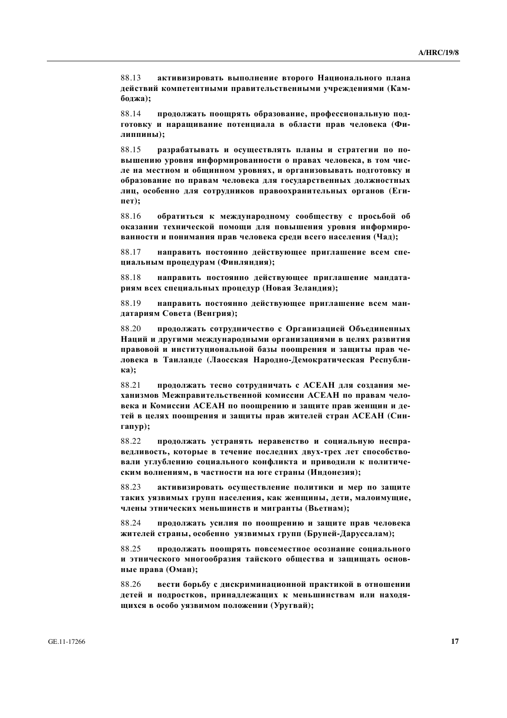88.13 активизировать выполнение второго Национального плана действий компетентными правительственными учреждениями (Кам**боджа**);

88.14 **продолжать поощрять образование, профессиональную под**готовку и наращивание потенциала в области прав человека (Фи- $J$ иппины);

88.15 разрабатывать и осуществлять планы и стратегии по по-**ВЫШЕНИЮ УРОВНЯ ИНФОРМИРОВАННОСТИ О ПРАВАХ ЧЕЛОВЕКА, В ТОМ ЧИС**де на местном и общинном уровнях, и организовывать подготовку и **• бразование по правам человека для государственных должностных** лиц, особенно для сотрудников правоохранительных органов (Египет);

88.16 **обратиться к международному сообществу с просьбой об ɨɤɚɡɚɧɢɢ ɬɟɯɧɢɱɟɫɤɨɣ ɩɨɦɨɳɢ ɞɥɹ ɩɨɜɵɲɟɧɢɹ ɭɪɨɜɧɹ ɢɧɮɨɪɦɢɪɨванности и понимания прав человека среди всего населения (Чад);** 

88.17 **иаправить постоянно действующее приглашение всем спеɰɢɚɥɶɧɵɦ ɩɪɨɰɟɞɭɪɚɦ (Ɏɢɧɥɹɧɞɢɹ);** 

88.18 **иаправить постоянно лействующее приглашение манлатариям всех специальных процедур (Новая Зеландия);** 

88.19 **направить постоянно действующее приглашение всем ман-<del><u>латариям</u>** Совета (Венгрия):</del>

88.20 продолжать сотрудничество с Организацией Объединенных Наций и другими международными организациями в целях развития правовой и институциональной базы поощрения и защиты прав человека в Таиланде (Лаосская Народно-Демократическая Республи**ɤɚ);** 

88.21 **продолжать тесно сотрудничать с АСЕАН для создания механизмов Межправительственной комиссии АСЕАН по правам человека и Комиссии АСЕАН по поощрению и защите прав женщин и де-**Тей в целях поощрения и защиты прав жителей стран АСЕАН (Сингапур);

88.22 продолжать устранять неравенство и социальную неспра**ведливость, которые в течение последних двух-трех лет способствовали углублению социального конфликта и приводили к политиче**ским волнениям, в частности на юге страны (Индонезия);

88.23 активизировать осуществление политики и мер по защите Таких уязвимых групп населения, как женщины, дети, малоимущие, члены этнических меньшинств и мигранты (Вьетнам);

88.24 **продолжать усилия по поощрению и защите прав человека** ЖИТЕЛЕЙ СТРАНЫ, ОСОбенно уязвимых групп (Бруней-Даруссалам);

88.25 продолжать поощрять повсеместное осознание социального и этнического многообразия тайского общества и защищать основ**ные права (Оман);** 

88.26 вести борьбу с дискриминационной практикой в отношении детей и подростков, принадлежащих к меньшинствам или находя**шихся в особо уязвимом положении (Уругвай);**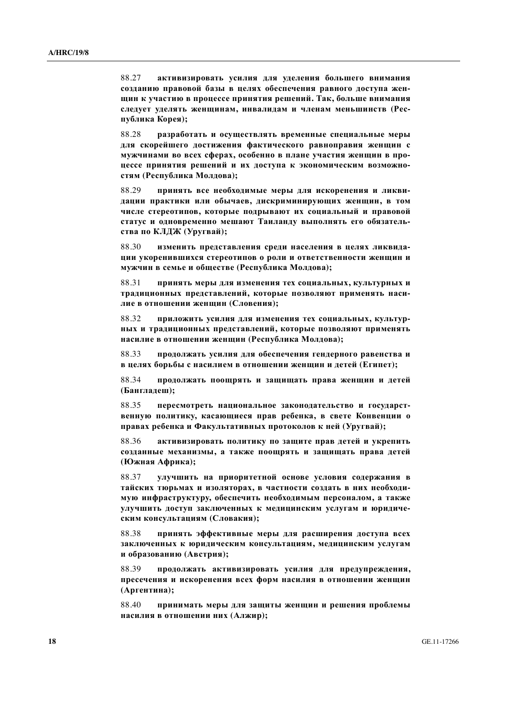88.27 активизировать усилия для уделения большего внимания созданию правовой базы в целях обеспечения равного доступа жен-**ЩИН К УЧАСТИЮ В ПРОЦЕССЕ ПРИНЯТИЯ РЕШЕНИЙ. ТАК, больше внимания** следует уделять женщинам, инвалидам и членам меньшинств (Республика Корея);

88.28 **пазработать и осуществлять временные специальные меры** для скорейшего достижения фактического равноправия женщин с МУЖЧИНАМИ ВО ВСЕХ СФЕРАХ, ОСОбЕННО В ПЛАНЕ УЧАСТИЯ ЖЕНЩИН В ПРО-**Щессе принятия решений и их доступа к экономическим возможно**стям (Республика Молдова);

88.29 **принять все необходимые меры для искоренения и ликви**дации практики или обычаев, дискриминирующих женщин, в том числе стереотипов, которые подрывают их социальный и правовой статус и одновременно мешают Таиланду выполнять его обязатель $c$ тва по КЛДЖ (Уругвай);

88.30 изменить представления среди населения в целях ликвида-**ЩИИ УКОРЕНИВШИХСЯ СТЕРЕОТИПОВ О РОЛИ И ОТВЕТСТВЕННОСТИ ЖЕНЩИН И**  $M$ V<sup>*x*</sup> Чин в семье и обществе (Республика Молдова);

88.31 принять меры для изменения тех социальных, культурных и традиционных представлений, которые позволяют применять наси-ЛИЕ В ОТНОШЕНИИ ЖЕНЩИН (СЛОВЕНИЯ);

88.32 **приложить усилия лля изменения тех социальных, культур-НЫХ И ТРАДИЦИОННЫХ ПРЕДСТАВЛЕНИЙ, КОТОРЫЕ ПОЗВОЛЯЮТ ПРИМЕНЯТЬ насилие в отношении женщин (Республика Молдова);** 

88.33 продолжать усилия для обеспечения гендерного равенства и **ɜ ɰɟɥɹɯ ɛɨɪɶɛɵ ɫ ɧɚɫɢɥɢɟɦ ɜ ɨɬɧɨɲɟɧɢɢ ɠɟɧɳɢɧ ɢ ɞɟɬɟɣ (ȿɝɢɩɟɬ);** 

88.34 **продолжать поощрять и защищать права женщин и детей** (Банглалеш):

88.35 **пересмотреть национальное законодательство и государственную политику, касающиеся прав ребенка, в свете Конвенции о** правах ребенка и Факультативных протоколов к ней (Уругвай);

88.36 активизировать политику по защите прав детей и укрепить созданные механизмы, а также поощрять и защищать права детей  $($ Южная Африка);

88.37 улучшить на приоритетной основе условия содержания в ТАЙСКИХ ТЮРЬМАХ И ИЗОЛЯТОРАХ, В ЧАСТНОСТИ СОЗДАТЬ В НИХ НЕОбХОДИмую инфраструктуру, обеспечить необходимым персоналом, а также УЛУЧШИТЬ ДОСТУП ЗАКЛЮЧЕННЫХ К МЕДИЦИНСКИМ УСЛУГАМ И ЮРИДИЧЕским консультациям (Словакия);

88.38 **принять эффективные меры для расширения доступа всех** заключенных к юридическим консультациям, медицинским услугам  $\bf{u}$  образованию (Австрия);

88.39 продолжать активизировать усилия для предупреждения, пресечения и искоренения всех форм насилия в отношении женщин (Аргентина);

88.40 принимать меры для защиты женщин и решения проблемы **НАСИЛИЯ В ОТНОШЕНИИ НИХ (АЛЖИР);**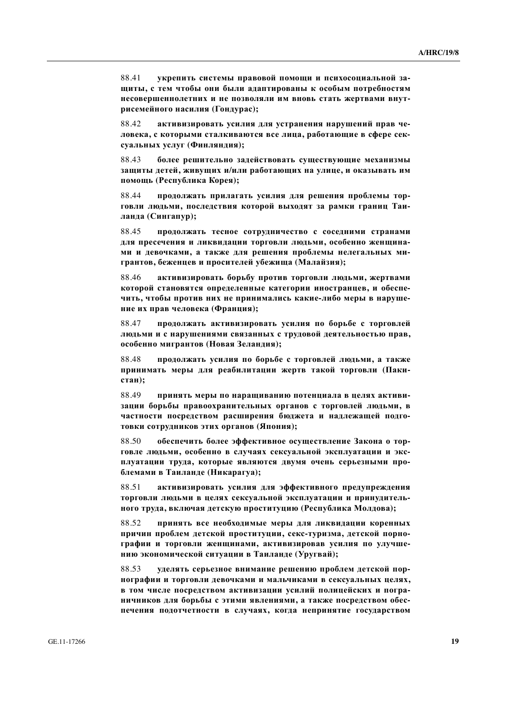88.41 • УКРЕПИТЬ СИСТЕМЫ ПРАВОВОЙ ПОМОЩИ И ПСИХОСОЦИАЛЬНОЙ ЗА-**ЩИТЫ, С ТЕМ ЧТОбЫ ОНИ бЫЛИ АДАПТИРОВАНЫ К ОСОбЫМ ПОТРЕбНОСТЯМ** Несовершеннолетних и не позволяли им вновь стать жертвами внут**ысемейного насилия (Гондурас);** 

88.42 активизировать усилия для устранения нарушений прав человека, с которыми сталкиваются все лица, работающие в сфере сексуальных услуг (Финляндия);

88.43 более решительно задействовать существующие механизмы защиты детей, живущих и/или работающих на улице, и оказывать им помощь (Республика Корея);

88.44 **продолжать прилагать усилия для решения проблемы тор**говли людьми, последствия которой выходят за рамки границ Таи- $\boldsymbol{\pi}$ анда (Сингапур);

88.45 продолжать тесное сотрудничество с соседними странами для пресечения и ликвидации торговли людьми, особенно женщина-МИ И ДЕВОЧКАМИ, А ТАКЖЕ ДЛЯ РЕШЕНИЯ ПРОбЛЕМЫ НЕЛЕГАЛЬНЫХ МИгрантов, беженцев и просителей убежища (Малайзия);

88.46 **• активизировать борьбу против торговли люльми, жертвами** которой становятся определенные категории иностранцев, и обеспечить, чтобы против них не принимались какие-либо меры в наруше**ние их прав человека (Франция);** 

88.47 **продолжать активизировать усилия по борьбе с торговлей** людьми и с нарушениями связанных с трудовой деятельностью прав, **особенно мигрантов (Новая Зеландия);** 

88.48 **продолжать усилия по борьбе с торговлей людьми, а также** принимать меры для реабилитации жертв такой торговли (Паки**стан**);

88.49 **принять меры по наращиванию потенциала в целях активиɡɚɰɢɢ ɛɨɪɶɛɵ ɩɪɚɜɨɨɯɪɚɧɢɬɟɥɶɧɵɯ ɨɪɝɚɧɨɜ ɫ ɬɨɪɝɨɜɥɟɣ ɥɸɞɶɦɢ, ɜ** Частности посредством расширения бюджета и надлежащей подго**убъеки сотрудников этих органов (Япония);** 

88.50 обеспечить более эффективное осуществление Закона о торговле людьми, особенно в случаях сексуальной эксплуатации и эксплуатации труда, которые являются двумя очень серьезными про- $6\pi$ емами в Таиланде (Никарагуа);

88.51 активизировать усилия для эффективного предупреждения ТОРГОВЛИ ЛЮДЬМИ В ЦЕЛЯХ СЕКСУАЛЬНОЙ ЭКСПЛУАТАЦИИ И ПРИНУДИТЕЛЬ**ного труда, включая детскую проституцию (Республика Молдова);** 

88.52 принять все необходимые меры для ликвидации коренных причин проблем детской проституции, секс-туризма, детской порнографии и торговли женщинами, активизировав усилия по улучше**нию** экономической ситуации в Таиланде (Уругвай);

88.53 уделять серьезное внимание решению проблем детской пор**нографии и торговли девочками и мальчиками в сексуальных целях, в том числе посредством активизации усилий полицейских и погра-НИЧНИКОВ ДЛЯ бОРЬбЫ С ЭТИМИ ЯВЛЕНИЯМИ, А ТАКЖЕ ПОСРЕДСТВОМ Обес**печения подотчетности в случаях, когда непринятие государством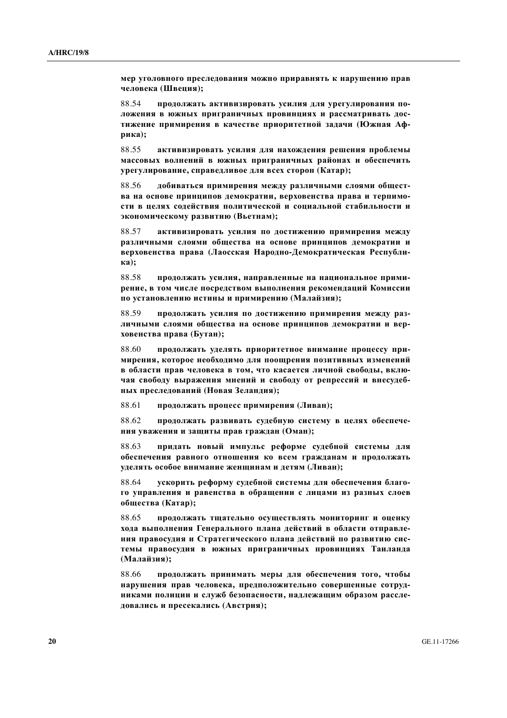мер уголовного преследования можно приравнять к нарушению прав **человека** (Швеция);

88.54 **продолжать активизировать усилия для урегулирования по**ложения в южных приграничных провинциях и рассматривать достижение примирения в качестве приоритетной задачи (Южная Афpикa);

88.55 активизировать усилия для нахождения решения проблемы МАССОВЫХ ВОЛНЕНИЙ В ЮЖНЫХ ПРИГРАНИЧНЫХ РАЙОНАХ И Обеспечить урегулирование, справедливое для всех сторон (Катар);

88.56 добиваться примирения между различными слоями общест**ва на основе принципов демократии, верховенства права и терпимо**сти в целях содействия политической и социальной стабильности и **экономическому развитию (Вьетнам);** 

88.57 активизировать усилия по достижению примирения между  $\boldsymbol{p}$ азличными слоями общества на основе принципов демократии и **верховенства права (Лаосская Народно-Демократическая Республиɤɚ);** 

88.58 продолжать усилия, направленные на национальное прими**рение, в том числе посредством выполнения рекомендаций Комиссии** по установлению истины и примирению (Малайзия);

88.59 **продолжать усилия по достижению примирения между раз**личными слоями общества на основе принципов демократии и вер**ковенства права (Бутан);** 

88.60 продолжать уделять приоритетное внимание процессу при**мирения, которое необходимо для поощрения позитивных изменений в области прав человека в том, что касается личной свободы, вклю-**Чая свободу выражения мнений и свободу от репрессий и внесудеб**ных преследований (Новая Зеландия);** 

88.61 продолжать процесс примирения (Ливан);

88.62 **продолжать развивать судебную систему в целях обеспече-НИЯ УВАЖЕНИЯ И ЗАЩИТЫ ПРАВ ГРАЖДАН (ОМАН);** 

88.63 придать новый импульс реформе судебной системы для **ифеспечения равного отношения ко всем гражданам и продолжать VДЕЛЯТЬ ОСОбОЕ ВНИМАНИЕ ЖЕНЩИНАМ И ДЕТЯМ (ЛИВАН);** 

88.64 • **ускорить реформу судебной системы для обеспечения благо-**ГО УПРАВЛЕНИЯ И РАВЕНСТВА В Обращении с лицами из разных слоев **общества** (Катар);

88.65 продолжать тщательно осуществлять мониторинг и оценку **кода выполнения Генерального плана действий в области отправле-НИЯ ПРАВОСУДИЯ И СТРАТЕГИЧЕСКОГО ПЛАНА ДЕЙСТВИЙ ПО РАЗВИТИЮ СИС**темы правосудия в южных приграничных провинциях Таиланда (Малайзия);

88.66 продолжать принимать меры для обеспечения того, чтобы **НАРУШЕНИЯ ПРАВ ЧЕЛОВЕКА, ПРЕДПОЛОЖИТЕЛЬНО СОВЕРШЕННЫЕ СОТРУДниками полиции и служб безопасности, надлежащим образом рассле-ДОВАЛИСЬ И ПРЕСЕКАЛИСЬ (АВСТРИЯ);**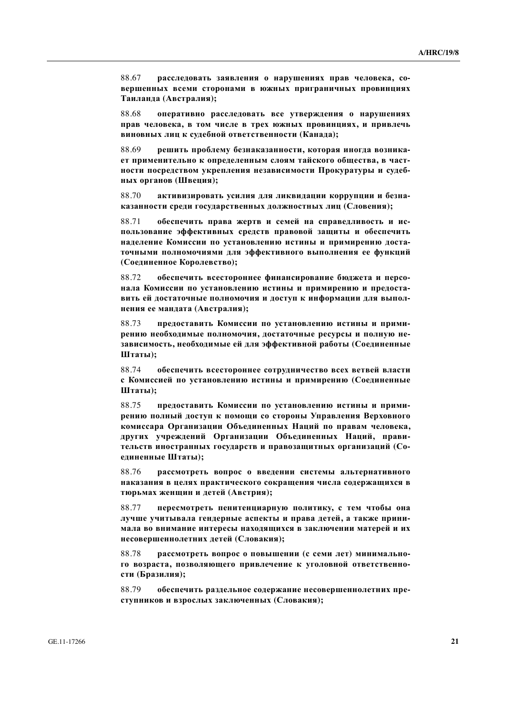88.67 расследовать заявления о нарушениях прав человека, со**вершенных всеми сторонами в южных приграничных провинциях Ɍɚɢɥɚɧɞɚ (Ⱥɜɫɬɪɚɥɢɹ);** 

88.68 оперативно расследовать все утверждения о нарушениях **прав человека, в том числе в трех южных провинциях, и привлечь виновных лиц к судебной ответственности (Канада);** 

88.69 решить проблему безнаказанности, которая иногда возника $f$  **вт применительно к определенным слоям тайского общества, в част**ности посредством укрепления независимости Прокуратуры и судеб**ɧɵɯ ɨɪɝɚɧɨɜ (ɒɜɟɰɢɹ);** 

88.70 активизировать усилия для ликвидации коррупции и безнаказанности среди государственных должностных лиц (Словения);

88.71 обеспечить права жертв и семей на справедливость и использование эффективных средств правовой защиты и обеспечить **НАДЕЛЕНИЕ КОМИССИИ ПО УСТАНОВЛЕНИЮ ИСТИНЫ И ПРИМИРЕНИЮ ДОСТА**точными полномочиями для эффективного выполнения ее функций **(ɋɨɟɞɢɧɟɧɧɨɟ Ʉɨɪɨɥɟɜɫɬɜɨ);** 

88.72 • обеспечить всестороннее финансирование бюлжета и персонала Комиссии по установлению истины и примирению и предоста**вить ей достаточные полномочия и доступ к информации для выполнения ее мандата (Австралия);** 

88.73 предоставить Комиссии по установлению истины и примирению необходимые полномочия, достаточные ресурсы и полную независимость, необходимые ей для эффективной работы (Соединенные **Штаты**);

88.74 обеспечить всестороннее сотрудничество всех ветвей власти  **Комиссией по установлению истины и примирению (Соединенные III** таты):

88.75 предоставить Комиссии по установлению истины и прими**иению полный доступ к помощи со стороны Управления Верховного** комиссара Организации Объединенных Наций по правам человека, других учреждений Организации Объединенных Наций, правительств иностранных государств и правозащитных организаций (Соединенные Штаты);

88.76 **рассмотреть вопрос о введении системы альтернативного** Наказания в целях практического сокращения числа содержащихся в тюрьмах женщин и детей (Австрия);

88.77 **пересмотреть пенитенциарную политику, с тем чтобы она ДУЧШЕ УЧИТЫВАЛА ГЕНДЕРНЫЕ АСПЕКТЫ И ПРАВА ДЕТЕЙ, А ТАКЖЕ ПРИНИ-**МАЛА ВО ВНИМАНИЕ ИНТЕРЕСЫ НАХОДЯЩИХСЯ В ЗАКЛЮЧЕНИИ МАТЕРЕЙ И ИХ **Несовершеннолетних детей (Словакия);** 

88.78 рассмотреть вопрос о повышении (с семи лет) минимального возраста, позволяющего привлечение к уголовной ответственно**сти** (Бразилия);

88.79 обеспечить раздельное содержание несовершеннолетних преступников и взрослых заключенных (Словакия);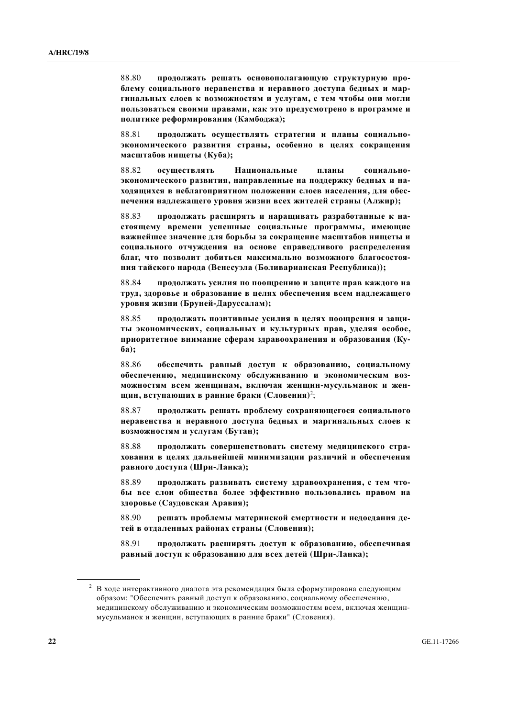88.80 продолжать решать основополагающую структурную проблему социального неравенства и неравного доступа бедных и мар-ГИНАЛЬНЫХ СЛОЕВ К ВОЗМОЖНОСТЯМ И УСЛУГАМ, С ТЕМ ЧТОО҄Ы ОНИ МОГЛИ ПОЛЬЗОВАТЬСЯ СВОИМИ ПРАВАМИ, КАК ЭТО ПРЕДУСМОТРЕНО В ПРОГРАММЕ И политике реформирования (Камбоджа);

88.81 продолжать осуществлять стратегии и планы социально-**ЖОНОМИЧЕСКОГО РАЗВИТИЯ СТРАНЫ, ОСОбенно в целях сокращения**  $Ma$ сштабов нищеты (Куба);

88.82 осушествлять Национальные планы социально**экономического развития, направленные на поддержку бедных и на**ходящихся в неблагоприятном положении слоев населения, для обес-Печения надлежащего уровня жизни всех жителей страны (Алжир);

88.83 продолжать расширять и наращивать разработанные к настоящему времени успешные социальные программы, имеющие **ɜɚɠɧɟɣɲɟɟ ɡɧɚɱɟɧɢɟ ɞɥɹ ɛɨɪɶɛɵ ɡɚ ɫɨɤɪɚɳɟɧɢɟ ɦɚɫɲɬɚɛɨɜ ɧɢɳɟɬɵ ɢ** социального отчуждения на основе справедливого распределения благ, что позволит добиться максимально возможного благосостоя**ния тайского народа (Венесуэла (Боливарианская Республика));** 

88.84 продолжать усилия по поощрению и защите прав каждого на труд, здоровье и образование в целях обеспечения всем надлежащего уровня жизни (Бруней-Даруссалам);

88.85 **продолжать позитивные усилия в целях поошрения и заши-**ТЫ ЭКОНОМИЧЕСКИХ, СОЦИАЛЬНЫХ И КУЛЬТУРНЫХ ПРАВ, УДЕЛЯЯ ОСОбОЕ, приоритетное внимание сферам здравоохранения и образования (Ку**ɛɚ);** 

88.86 обеспечить равный доступ к образованию, социальному **обеспечению, медицинскому обслуживанию и экономическим воз-**МОЖНОСТЯМ ВСЕМ ЖЕНЩИНАМ, ВКЛЮЧАЯ ЖЕНЩИН-МУСУЛЬМАНОК И ЖЕНщин, вступающих в ранние браки (Словения)<sup>2</sup>;

88.87 продолжать решать проблему сохраняющегося социального Неравенства и неравного доступа бедных и маргинальных слоев к **возможностям и услугам (Бутан);** 

88.88 продолжать совершенствовать систему медицинского стра**кования в целях дальнейшей минимизации различий и обеспечения paвного доступа (Шри-Ланка);** 

88.89 продолжать развивать систему здравоохранения, с тем что**ɛɵ ɜɫɟ ɫɥɨɢ ɨɛɳɟɫɬɜɚ ɛɨɥɟɟ ɷɮɮɟɤɬɢɜɧɨ ɩɨɥɶɡɨɜɚɥɢɫɶ ɩɪɚɜɨɦ ɧɚ**  $3\mu$ оровье (Саудовская Аравия);

88.90 решать проблемы материнской смертности и недоедания детей в отдаленных районах страны (Словения);

88.91 продолжать расширять доступ к образованию, обеспечивая **равный доступ к образованию для всех детей (Шри-Ланка);** 

<sup>&</sup>lt;sup>2</sup> В ходе интерактивного диалога эта рекомендация была сформулирована следующим образом: "Обеспечить равный доступ к образованию, социальному обеспечению, медицинскому обслуживанию и экономическим возможностям всем, включая женщинмусульманок и женщин, вступающих в ранние браки" (Словения).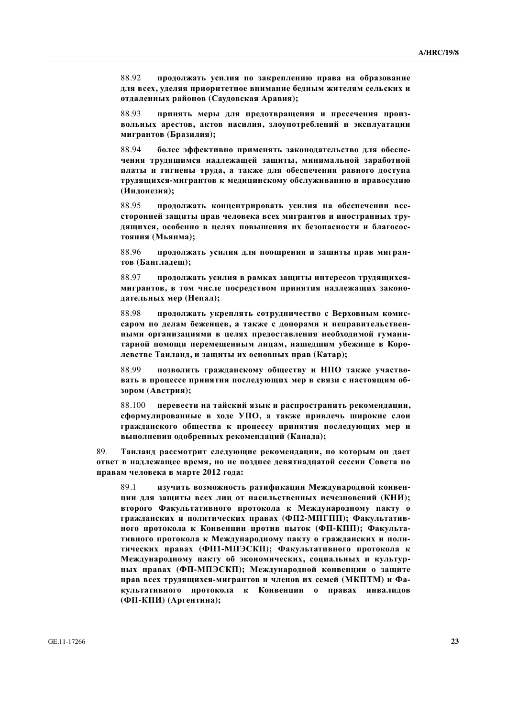88.92 **продолжать усилия по закреплению права на образование** для всех, уделяя приоритетное внимание бедным жителям сельских и **ɨɬɞɚɥɟɧɧɵɯ ɪɚɣɨɧɨɜ (ɋɚɭɞɨɜɫɤɚɹ Ⱥɪɚɜɢɹ);** 

88.93 **принять меры для предотвращения и пресечения произвольных арестов, актов насилия, злоупотреблений и эксплуатации ɦɢɝɪɚɧɬɨɜ (Ȼɪɚɡɢɥɢɹ);** 

88.94 **более эффективно применять законодательство для обеспе**чения трудящимся надлежащей защиты, минимальной заработной платы и гигиены труда, а также для обеспечения равного доступа трудящихся-мигрантов к медицинскому обслуживанию и правосудию  $($ Индонезия);

88.95 продолжать концентрировать усилия на обеспечении всесторонней защиты прав человека всех мигрантов и иностранных трудящихся, особенно в целях повышения их безопасности и благосос- $\bf{TOSHHS}$  (Мьянма);

88.96 **продолжать усилия для поощрения и защиты прав мигран-** $T$ ОВ (Бангладеш);

88.97 **ПРОДОЛЖАТЬ УСИЛИЯ В РАМКАХ ЗАШИТЫ ИНТЕРЕСОВ ТРУДЯШИХСЯ-**МИГРАНТОВ, В ТОМ ЧИСЛЕ ПОСРЕДСТВОМ ПРИНЯТИЯ НАДЛЕЖАЩИХ ЗАКОНО- $\boldsymbol{\mu}$ ательных мер (Непал);

88.98 **продолжать укреплять сотрудничество с Верховным комис**саром по делам беженцев, а также с донорами и неправительственными организациями в целях предоставления необходимой гуманитарной помощи перемещенным лицам, нашедшим убежище в Коро- $\overline{A}$ евстве Таиланд, и защиты их основных прав (Катар);

88.99 **позволить гражданскому обществу и НПО также участво-**ВАТЬ В ПРОЦЕССЕ ПРИНЯТИЯ ПОСЛЕДУЮЩИХ МЕР В СВЯЗИ С НАСТОЯЩИМ Об**зором** (Австрия);

88.100 перевести на тайский язык и распространить рекомендации, **сформулированные в ходе УПО, а также привлечь широкие слои** гражданского общества к процессу принятия последующих мер и  $\mathbf{B}_\text{b}$ IПОЛНЕНИЯ ОДОбренных рекомендаций (Канада);

89. Таиланд рассмотрит следующие рекомендации, по которым он дает **итвет в надлежащее время, но не позднее девятнадцатой сессии Совета по** правам человека в марте 2012 года:

89.1 изучить возможность ратификации Международной конвен-**ЩИИ ДЛЯ ЗАЩИТЫ ВСЕХ ЛИЦ ОТ НАСИЛЬСТВЕННЫХ ИСЧЕЗНОВЕНИЙ (КНИ); второго Факультативного протокола к Международному пакту о** Гражданских и политических правах (ФП2-МПГПП); Факультатив-**НОГО ПРОТОКОЛА К КОНВЕНЦИИ ПРОТИВ ПЫТОК (ФП-КПП); ФАКУЛЬТА-ТИВНОГО ПРОТОКОЛА К МЕЖДУНАРОДНОМУ ПАКТУ О ГРАЖДАНСКИХ И ПОЛИ**тических правах (ФП1-МПЭСКП); Факультативного протокола к Международному пакту об экономических, социальных и культур-**НЫХ ПРАВАХ (ФП-МПЭСКП); Международной конвенции о защите** прав всех трудящихся-мигрантов и членов их семей (МКПТМ) и Фа**культативного протокола к Конвенции о правах инвалидов (Ɏɉ-Ʉɉɂ) (Ⱥɪɝɟɧɬɢɧɚ);**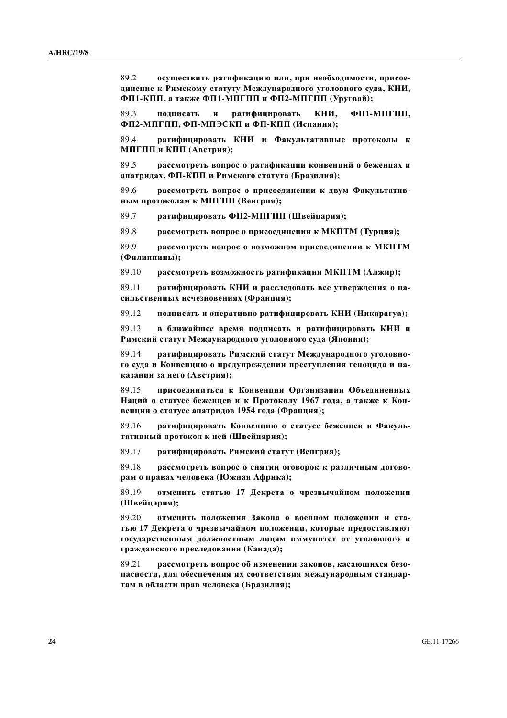89.2 осуществить ратификацию или, при необходимости, присоединение к Римскому статуту Международного уголовного суда, КНИ, **Ɏɉ1-Ʉɉɉ, ɚ ɬɚɤɠɟ Ɏɉ1-ɆɉȽɉɉ ɢ Ɏɉ2-ɆɉȽɉɉ (ɍɪɭɝɜɚɣ);** 

89.3 **подписать и ратифицировать КНИ, ФП1-МПГПП, Ɏɉ2-ɆɉȽɉɉ, Ɏɉ-ɆɉɗɋɄɉ ɢ Ɏɉ-Ʉɉɉ (ɂɫɩɚɧɢɹ);** 

89.4 **ратифицировать КНИ и Факультативные протоколы к** МПГПП и КПП (Австрия);

89.5 рассмотреть вопрос о ратификации конвенций о беженцах и  $\boldsymbol{\theta}$ илатридах, ФП-КПП и Римского статута (Бразилия);

89.6 рассмотреть вопрос о присоединении к двум Факультатив-**НЫМ ПРОТОКОЛАМ К МПГПП (Венгрия);** 

 $89.7$  ратифицировать ФП2-МПГПП (Швейцария);

89.8 рассмотреть вопрос о присоединении к МКПТМ (Турция);

89.9 рассмотреть вопрос о возможном присоединении к МКПТМ **(Ɏɢɥɢɩɩɢɧɵ);** 

89.10 рассмотреть возможность ратификации МКПТМ (Алжир);

89.11 **• ратифицировать КНИ и расслеловать все утверждения о на**сильственных исчезновениях (Франция);

89.12 подписать и оперативно ратифицировать КНИ (Никарагуа);

89.13 **в ближайшее время подписать и ратифицировать КНИ и** Римский статут Международного уголовного суда (Япония);

89.14 **• ратифицировать Римский статут Международного уголовно**го суда и Конвенцию о предупреждении преступления геноцида и на**казании за него (Австрия);** 

89.15 присоелиниться к Конвенции Организации Объелиненных Наций о статусе беженцев и к Протоколу 1967 года, а также к Кон**венции о статусе апатридов 1954 года (Франция);** 

89.16 **· ратифицировать Конвенцию о статусе беженцев и Факуль**тативный протокол к ней (Швейцария);

89.17 ратифицировать Римский статут (Венгрия);

89.18 рассмотреть вопрос о снятии оговорок к различным догово**paм о правах человека (Южная Африка);** 

89.19 отменить статью 17 Декрета о чрезвычайном положении **(Швейцария);** 

89.20 отменить положения Закона о военном положении и статью 17 Декрета о чрезвычайном положении, которые предоставляют ГОСУДАРСТВЕННЫМ ДОЛЖНОСТНЫМ ЛИЦАМ ИММУНИТЕТ ОТ УГОЛОВНОГО И гражданского преследования (Канада);

89.21 рассмотреть вопрос об изменении законов, касающихся безопасности, для обеспечения их соответствия международным стандартам в области прав человека (Бразилия);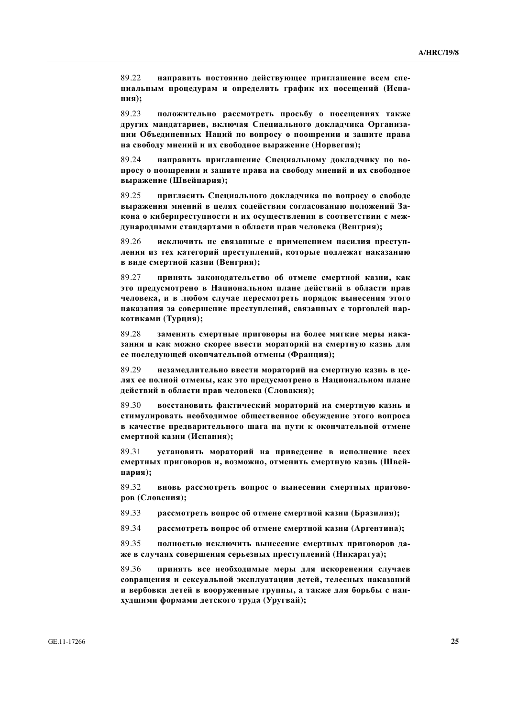89.22 **направить постоянно действующее приглашение всем спе**циальным процедурам и определить график их посещений (Испа**ния**);

89.23 положительно рассмотреть просьбу о посещениях также других мандатариев, включая Специального докладчика Организации Объединенных Наций по вопросу о поощрении и защите права **на свободу мнений и их свободное выражение (Норвегия);** 

89.24 **направить приглашение Специальному докладчику по во**просу о поощрении и защите права на свободу мнений и их свободное **ɜɵɪɚɠɟɧɢɟ (ɒɜɟɣɰɚɪɢɹ);** 

89.25 пригласить Специального докладчика по вопросу о свободе **выражения мнений в целях содействия согласованию положений За**кона о киберпреступности и их осуществления в соответствии с международными стандартами в области прав человека (Венгрия);

89.26 исключить не связанные с применением насилия преступдения из тех категорий преступлений, которые подлежат наказанию **в виде смертной казни (Венгрия);** 

 89.27 **ɩɪɢɧɹɬɶ ɡɚɤɨɧɨɞɚɬɟɥɶɫɬɜɨ ɨɛ ɨɬɦɟɧɟ ɫɦɟɪɬɧɨɣ ɤɚɡɧɢ, ɤɚɤ** это предусмотрено в Национальном плане действий в области прав человека, и в любом случае пересмотреть порядок вынесения этого Наказания за совершение преступлений, связанных с торговлей нар**котиками** (Турция);

89.28 заменить смертные приговоры на более мягкие меры нака-**ЗАНИЯ И КАК МОЖНО СКОРЕЕ ВВЕСТИ МОРАТОРИЙ НА СМЕРТНУЮ КАЗНЬ ДЛЯ** ее последующей окончательной отмены (Франция);

89.29 незамедлительно ввести мораторий на смертную казнь в цедях ее полной отмены, как это предусмотрено в Национальном плане действий в области прав человека (Словакия);

89.30 восстановить фактический мораторий на смертную казнь и стимулировать необходимое общественное обсуждение этого вопроса **в качестве предварительного шага на пути к окончательной отмене**  $\mathbf{c}$ мертной казни (Испания);

89.31 **установить мораторий на приведение в исполнение всех** смертных приговоров и, возможно, отменить смертную казнь (Швей**цария**);

89.32 **вновь рассмотреть вопрос о вынесении смертных приговоров** (Словения);

89.33 рассмотреть вопрос об отмене смертной казни (Бразилия);

89.34 рассмотреть вопрос об отмене смертной казни (Аргентина);

89.35 полностью исключить вынесение смертных приговоров да-Же в случаях совершения серьезных преступлений (Никарагуа);

89.36 **принять все необходимые меры для искоренения случаев** совращения и сексуальной эксплуатации детей, телесных наказаний **и вербовки детей в вооруженные группы, а также для борьбы с наикудшими формами детского труда (Уругвай);**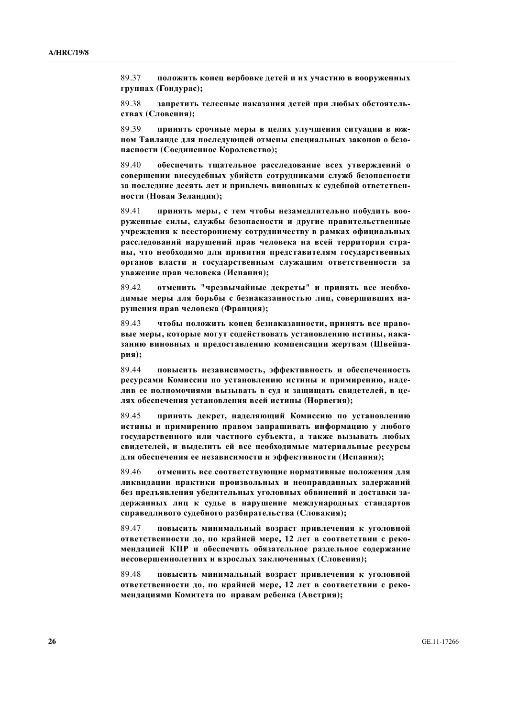89.37 положить конец вербовке детей и их участию в вооруженных группах (Гондурас);

89.38 **запретить телесные наказания детей при любых обстоятельствах** (Словения);

89.39 **принять срочные меры в целях улучшения ситуации в юж-НОМ Таиланде для последующей отмены специальных законов о безо-** $\mathbf{u}$ асности (Соединенное Королевство);

89.40 обеспечить тщательное расследование всех утверждений о совершении внесудебных убийств сотрудниками служб безопасности за последние десять лет и привлечь виновных к судебной ответствен**ности** (Новая Зеландия);

89.41 **принять меры, с тем чтобы незамедлительно побудить вооруженные силы, службы безопасности и другие правительственные** учреждения к всестороннему сотрудничеству в рамках официальных расследований нарушений прав человека на всей территории стра-НЫ, ЧТО НЕОбХОДИМО ДЛЯ ПРИВИТИЯ ПРЕДСТАВИТЕЛЯМ ГОСУДАРСТВЕННЫХ **ерганов власти и государственным служащим ответственности за ɭɜɚɠɟɧɢɟ ɩɪɚɜ ɱɟɥɨɜɟɤɚ (ɂɫɩɚɧɢɹ);** 

89.42 отменить "чрезвычайные декреты" и принять все необходимые меры для борьбы с безнаказанностью лиц, совершивших на- $\bf{p}$ ушения прав человека (Франция);

89.43 чтобы положить конец безнаказанности, принять все право-**ВЫЕ МЕРЫ, КОТОРЫЕ МОГУТ СОДЕЙСТВОВАТЬ УСТАНОВЛЕНИЮ ИСТИНЫ, НАКА**занию виновных и предоставлению компенсации жертвам (Швейца**рия**);

89.44 **повысить независимость, эффективность и обеспеченность ресурсами Комиссии по установлению истины и примирению, наде-**ЛИВ ее полномочиями вызывать в суд и защищать свидетелей, в целях обеспечения установления всей истины (Норвегия);

89.45 принять декрет, наделяющий Комиссию по установлению ИСТИНЫ И ПРИМИРЕНИЮ ПРАВОМ ЗАПРАШИВАТЬ ИНФОРМАЦИЮ У ЛЮбОГО государственного или частного субъекта, а также вызывать любых свидетелей, и выделить ей все необходимые материальные ресурсы для обеспечения ее независимости и эффективности (Испания);

89.46 отменить все соответствующие нормативные положения для диквидации практики произвольных и неоправданных задержаний без предъявления убедительных уголовных обвинений и доставки задержанных лиц к судье в нарушение международных стандартов справедливого судебного разбирательства (Словакия);

89.47 повысить минимальный возраст привлечения к уголовной  $\boldsymbol{\theta}$ **ченности до, по крайней мере, 12 лет в соответствии с реко**мендацией КПР и обеспечить обязательное раздельное содержание **НЕСОВЕРШЕННОЛЕТНИХ И ВЗРОСЛЫХ ЗАКЛЮЧЕННЫХ (СЛОВЕНИЯ);** 

89.48 повысить минимальный возраст привлечения к уголовной **утветственности до, по крайней мере, 12 лет в соответствии с рекомендациями Комитета по правам ребенка (Австрия);**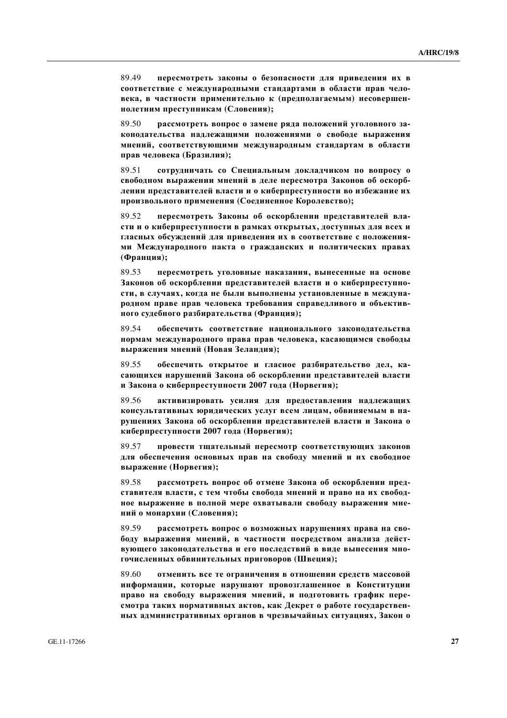89.49 **пересмотреть законы о безопасности для приведения их в** соответствие с международными стандартами в области прав чело**века**, в частности применительно к (предполагаемым) несовершен**нолетним преступникам (Словения);** 

89.50 рассмотреть вопрос о замене ряда положений уголовного законодательства надлежащими положениями о свободе выражения МНЕНИЙ, СООТВЕТСТВУЮЩИМИ МЕЖДУНАРОДНЫМ СТАНДАРТАМ В Области прав человека (Бразилия);

 89.51 **ɫɨɬɪɭɞɧɢɱɚɬɶ ɫɨ ɋɩɟɰɢɚɥɶɧɵɦ ɞɨɤɥɚɞɱɢɤɨɦ ɩɨ ɜɨɩɪɨɫɭ ɨ** свободном выражении мнений в деле пересмотра Законов об оскорблении представителей власти и о киберпреступности во избежание их произвольного применения (Соединенное Королевство);

89.52 пересмотреть Законы об оскорблении представителей власти и о киберпреступности в рамках открытых, доступных для всех и ГЛАСНЫХ ОбСУЖДЕНИЙ ДЛЯ ПРИВЕДЕНИЯ ИХ В СООТВЕТСТВИЕ С ПОЛОЖЕНИЯ**ми Международного пакта о гражданских и политических правах** (Франция);

89.53 пересмотреть уголовные наказания, вынесенные на основе Законов об оскорблении представителей власти и о киберпреступности, в случаях, когда не были выполнены установленные в междуна**родном праве прав человека требования справедливого и объективного судебного разбирательства (Франция);** 

89.54 **• обеспечить соответствие национального законодательства НОРМАМ МЕЖДУНАРОДНОГО ПРАВА ПРАВ ЧЕЛОВЕКА, КАСАЮЩИМСЯ СВОбОДЫ ɜɵɪɚɠɟɧɢɹ ɦɧɟɧɢɣ (ɇɨɜɚɹ Ɂɟɥɚɧɞɢɹ);**

89.55 обеспечить открытое и гласное разбирательство дел, касающихся нарушений Закона об оскорблении представителей власти **и Закона о киберпреступности 2007 года (Норвегия);** 

89.56 активизировать усилия для предоставления надлежащих консультативных юридических услуг всем лицам, обвиняемым в на**рушениях Закона об оскорблении представителей власти и Закона о ɤɢɛɟɪɩɪɟɫɬɭɩɧɨɫɬɢ 2007 ɝɨɞɚ (ɇɨɪɜɟɝɢɹ);**

89.57 провести тщательный пересмотр соответствующих законов ДЛЯ Обеспечения основных прав на свободу мнений и их свободное **ɜɵɪɚɠɟɧɢɟ (ɇɨɪɜɟɝɢɹ);**

89.58 рассмотреть вопрос об отмене Закона об оскорблении представителя власти, с тем чтобы свобода мнений и право на их свобод-**НОЕ ВЫРАЖЕНИЕ В ПОЛНОЙ МЕРЕ ОХВАТЫВАЛИ СВОбОДУ ВЫРАЖЕНИЯ МНЕний о монархии (Словения);** 

89.59 рассмотреть вопрос о возможных нарушениях права на свободу выражения мнений, в частности посредством анализа дейст**вующего законодательства и его последствий в виде вынесения мно**гочисленных обвинительных приговоров (Швеция);

89.60 отменить все те ограничения в отношении средств массовой **информации, которые нарушают провозглашенное в Конституции** право на свободу выражения мнений, и подготовить график перекмотра таких нормативных актов, как Декрет о работе государствен-**НЫХ АДМИНИСТРАТИВНЫХ ОРГАНОВ В ЧРЕЗВЫЧАЙНЫХ СИТУАЦИЯХ, ЗАКОН О**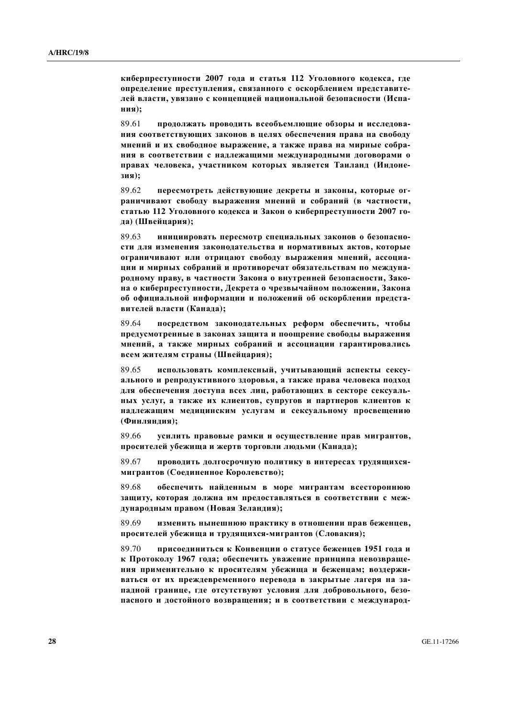**ɤɢɛɟɪɩɪɟɫɬɭɩɧɨɫɬɢ 2007 ɝɨɞɚ ɢ ɫɬɚɬɶɹ 112 ɍɝɨɥɨɜɧɨɝɨ ɤɨɞɟɤɫɚ, ɝɞɟ • определение преступления, связанного с оскорблением представите**лей власти, увязано с концепцией национальной безопасности (Испа**ɧɢɹ);**

89.61 продолжать проводить всеобъемлющие обзоры и исследования соответствующих законов в целях обеспечения права на свободу **мнений и их свободное выражение, а также права на мирные собра-НИЯ В СООТВЕТСТВИИ С НАДЛЕЖАЩИМИ МЕЖДУНАРОДНЫМИ ДОГОВОРАМИ О** правах человека, участником которых является Таиланд (Индоне**ɡɢɹ);**

89.62 **пересмотреть действующие декреты и законы, которые ог**раничивают свободу выражения мнений и собраний (в частности, статью 112 Уголовного кодекса и Закон о киберпреступности 2007 го**да**) (Швейцария);

89.63 инициировать пересмотр специальных законов о безопасности для изменения законодательства и нормативных актов, которые **ограничивают или отрицают свободу выражения мнений, ассоциа-ЩИИ И МИРНЫХ СОбраний И противоречат обязательствам по междуна**родному праву, в частности Закона о внутренней безопасности, Зако**на о киберпреступности, Декрета о чрезвычайном положении, Закона • б официальной информации и положений об оскорблении представителей власти (Канада);** 

89.64 **посредством законодательных реформ обеспечить, чтобы** предусмотренные в законах защита и поощрение свободы выражения МНЕНИЙ, а также мирных собраний и ассоциации гарантировались  $\textbf{B}$  **сем жителям страны** (Швейцария);

89.65 использовать комплексный, учитывающий аспекты сексу- $\bf{a}$ ЛЬНОГО И РЕПРОДУКТИВНОГО ЗДОРОВЬЯ, А ТАКЖЕ ПРАВА ЧЕЛОВЕКА ПОДХОД для обеспечения доступа всех лиц, работающих в секторе сексуаль-НЫХ УСЛУГ, А ТАКЖЕ ИХ КЛИЕНТОВ, СУПРУГОВ И ПАРТНЕРОВ КЛИЕНТОВ К надлежащим медицинским услугам и сексуальному просвещению  $($ Финляндия);

89.66 **•• УСИЛИТЬ ПРАВОВЫЕ РАМКИ И ОСУШЕСТВЛЕНИЕ ПРАВ МИГРАНТОВ.** просителей убежища и жертв торговли людьми (Канада);

89.67 проводить долгосрочную политику в интересах трудящихся**ɦɢɝɪɚɧɬɨɜ (ɋɨɟɞɢɧɟɧɧɨɟ Ʉɨɪɨɥɟɜɫɬɜɨ);**

89.68 обеспечить найденным в море мигрантам всестороннюю Защиту, которая должна им предоставляться в соответствии с международным правом (Новая Зеландия);

89.69 изменить нынешнюю практику в отношении прав беженцев, просителей убежища и трудящихся-мигрантов (Словакия);

89.70 присоединиться к Конвенции о статусе беженцев 1951 года и **к** Протоколу 1967 года; обеспечить уважение принципа невозвращения применительно к просителям убежища и беженцам; воздержи**ваться от их преждевременного перевода в закрытые лагеря на за-**ПАДНОЙ ГРАНИЦЕ, ГДЕ ОТСУТСТВУЮТ УСЛОВИЯ ДЛЯ ДОбровольного, безо-ПАСНОГО И ДОСТОЙНОГО ВОЗВРАЩЕНИЯ; И В СООТВЕТСТВИИ С МЕЖДУНАРОД-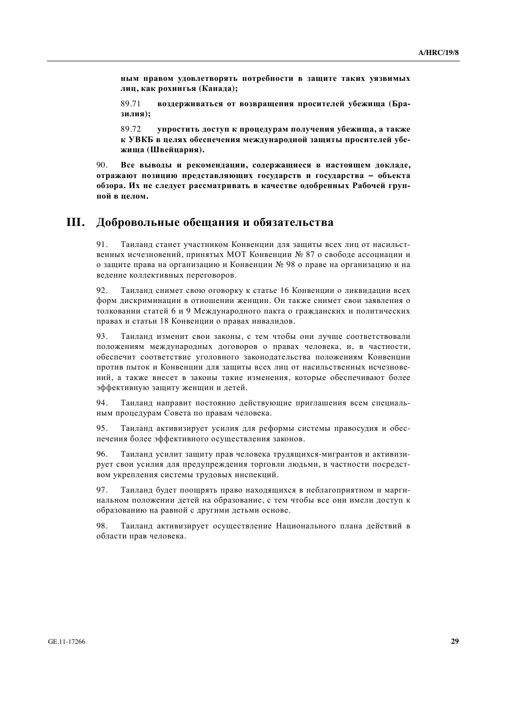**НЫМ ПРАВОМ УДОВЛЕТВОРЯТЬ ПОТРЕбнОСТИ В ЗАЩИТЕ ТАКИХ УЯЗВИМЫХ**  $\boldsymbol{\pi}$ иц, как рохингья (Канада);

89.71 **воздерживаться от возвращения просителей убежища (Бразилия**);

89.72 **ине из кончатки и тематичения хотячения а также** к УВКБ в целях обеспечения международной защиты просителей убе**ɠɢɳɚ (ɒɜɟɣɰɚɪɢɹ).**

90. Все выводы и рекомендации, содержащиеся в настоящем докладе, **итражают позицию представляющих государств и государства - объекта обзора. Их не следует рассматривать в качестве одобренных Рабочей груп-** $\overline{u}$ ой в целом.

## **III.** Добровольные обещания и обязательства

91. Таиланд станет участником Конвенции для зашиты всех лиц от насильственных исчезновений, принятых МОТ Конвенции № 87 о свободе ассоциации и о защите права на организацию и Конвенции № 98 о праве на организацию и на ведение коллективных переговоров.

92. Таиланд снимет свою оговорку к статье 16 Конвенции о ликвидации всех форм дискриминации в отношении женщин. Он также снимет свои заявления о толковании статей 6 и 9 Международного пакта о гражданских и политических правах и статьи 18 Конвенции о правах инвалидов.

93. Таиланд изменит свои законы, с тем чтобы они лучше соответствовали положениям международных договоров о правах человека, и, в частности, обеспечит соответствие уголовного законолательства положениям Конвенции против пыток и Конвенции для защиты всех лиц от насильственных исчезновений, а также внесет в законы такие изменения, которые обеспечивают более эффективную защиту женщин и детей.

94. Таиланд направит постоянно действующие приглашения всем специальным процедурам Совета по правам человека.

95. Таиланд активизирует усилия для реформы системы правосудия и обеспечения более эффективного осуществления законов.

96. Таиланд усилит защиту прав человека трудящихся-мигрантов и активизирует свои усилия для предупреждения торговли людьми, в частности посредством укрепления системы трудовых инспекций.

97. Таиланд будет поощрять право находящихся в неблагоприятном и маргинальном положении детей на образование, с тем чтобы все они имели доступ к образованию на равной с другими детьми основе.

98. Таиланд активизирует осуществление Национального плана действий в области прав человека.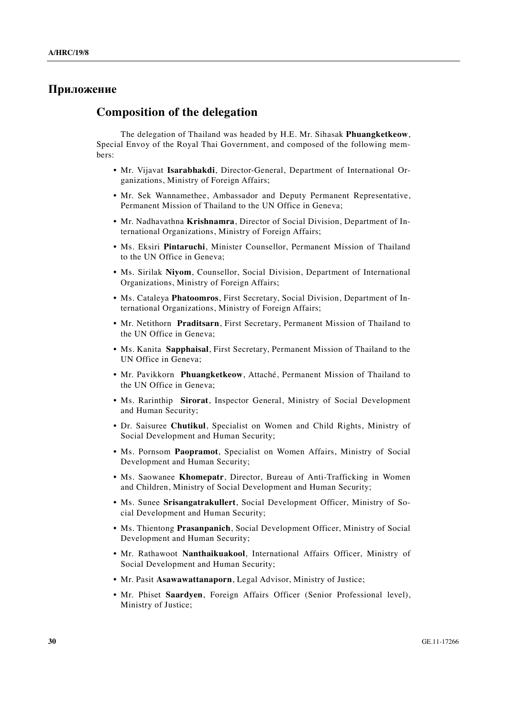## Приложение

### **Composition of the delegation**

 The delegation of Thailand was headed by H.E. Mr. Sihasak **Phuangketkeow**, Special Envoy of the Royal Thai Government, and composed of the following members:

- Mr. Vijavat **Isarabhakdi**, Director-General, Department of International Organizations, Ministry of Foreign Affairs;
- Mr. Sek Wannamethee, Ambassador and Deputy Permanent Representative, Permanent Mission of Thailand to the UN Office in Geneva;
- Mr. Nadhavathna **Krishnamra**, Director of Social Division, Department of International Organizations, Ministry of Foreign Affairs;
- Ms. Eksiri **Pintaruchi**, Minister Counsellor, Permanent Mission of Thailand to the UN Office in Geneva;
- Ms. Sirilak **Niyom**, Counsellor, Social Division, Department of International Organizations, Ministry of Foreign Affairs;
- Ms. Cataleya **Phatoomros**, First Secretary, Social Division, Department of International Organizations, Ministry of Foreign Affairs;
- Mr. Netithorn **Praditsarn**, First Secretary, Permanent Mission of Thailand to the UN Office in Geneva;
- Ms. Kanita **Sapphaisal**, First Secretary, Permanent Mission of Thailand to the UN Office in Geneva;
- Mr. Pavikkorn **Phuangketkeow**, Attaché, Permanent Mission of Thailand to the UN Office in Geneva;
- Ms. Rarinthip **Sirorat**, Inspector General, Ministry of Social Development and Human Security;
- Dr. Saisuree **Chutikul**, Specialist on Women and Child Rights, Ministry of Social Development and Human Security;
- Ms. Pornsom **Paopramot**, Specialist on Women Affairs, Ministry of Social Development and Human Security;
- Ms. Saowanee **Khomepatr**, Director, Bureau of Anti-Trafficking in Women and Children, Ministry of Social Development and Human Security;
- Ms. Sunee **Srisangatrakullert**, Social Development Officer, Ministry of Social Development and Human Security;
- Ms. Thientong **Prasanpanich**, Social Development Officer, Ministry of Social Development and Human Security;
- Mr. Rathawoot **Nanthaikuakool**, International Affairs Officer, Ministry of Social Development and Human Security;
- Mr. Pasit **Asawawattanaporn**, Legal Advisor, Ministry of Justice;
- Mr. Phiset **Saardyen**, Foreign Affairs Officer (Senior Professional level), Ministry of Justice;